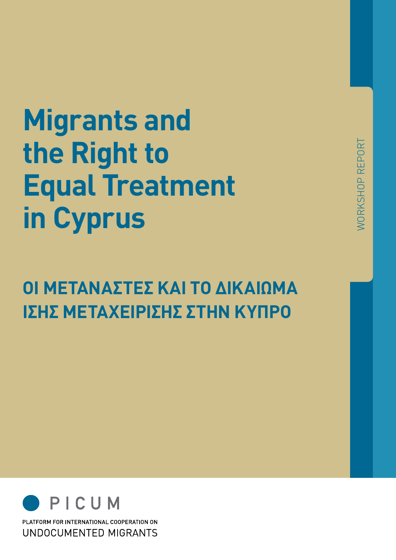# **Migrants and the Right to Equal Treatment in Cyprus**

# **Οι μετανάστες και το δικαίωμα ίσης μεταχείρισης στην Κύπρο**



PLATFORM FOR INTERNATIONAL COOPERATION ON UNDOCUMENTED MIGRANTS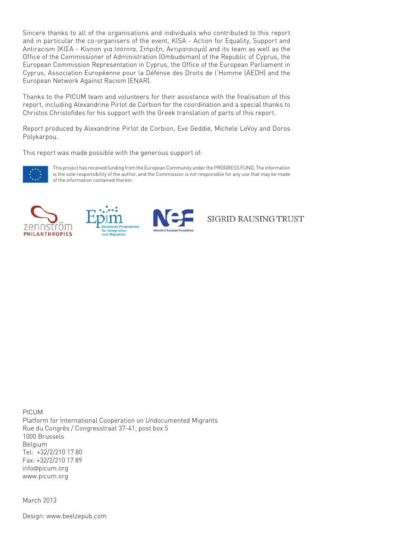Sincere thanks to all of the organisations and individuals who contributed to this report and in particular the co-organisers of the event, KISA - Action for Equality, Support and Antiracism (ΚΙΣΑ - Κίνηση για Ισότητα, Στήριξη, Αντιρατσισμό) and its team as well as the Office of the Commissioner of Administration (Ombudsman) of the Republic of Cyprus, the European Commission Representation in Cyprus, the Office of the European Parliament in Cyprus, Association Européenne pour la Défense des Droits de l'Homme (AEDH) and the European Network Against Racism (ENAR).

Thanks to the PICUM team and volunteers for their assistance with the finalisation of this report, including Alexandrine Pirlot de Corbion for the coordination and a special thanks to Christos Christofides for his support with the Greek translation of parts of this report.

Report produced by Alexandrine Pirlot de Corbion, Eve Geddie, Michele LeVoy and Doros Polykarpou.

This report was made possible with the generous support of:



This project has received funding from the European Community under the PROGRESS FUND. The information is the sole responsibility of the author, and the Commission is not responsible for any use that may be made of the information contained therein.







SIGRID RAUSING TRUST

PICUM Platform for International Cooperation on Undocumented Migrants Rue du Congrès / Congresstraat 37-41, post box 5 1000 Brussels Belgium Tel: +32/2/210 17 80 Fax: +32/2/210 17 89 info@picum.org www.picum.org

March 2013

Design: www.beelzepub.com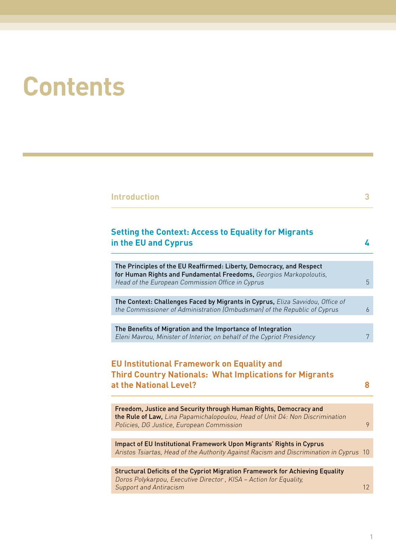# **Contents**

| <b>Setting the Context: Access to Equality for Migrants</b><br>in the EU and Cyprus                                                                                                                                                                                                                                                  |  |
|--------------------------------------------------------------------------------------------------------------------------------------------------------------------------------------------------------------------------------------------------------------------------------------------------------------------------------------|--|
|                                                                                                                                                                                                                                                                                                                                      |  |
| The Principles of the EU Reaffirmed: Liberty, Democracy, and Respect<br>for Human Rights and Fundamental Freedoms, Georgios Markopoloutis,<br>Head of the European Commission Office in Cyprus                                                                                                                                       |  |
| The Context: Challenges Faced by Migrants in Cyprus, Eliza Savvidou, Office of<br>the Commissioner of Administration (Ombudsman) of the Republic of Cyprus                                                                                                                                                                           |  |
| The Benefits of Migration and the Importance of Integration                                                                                                                                                                                                                                                                          |  |
| Eleni Mavrou, Minister of Interior, on behalf of the Cypriot Presidency                                                                                                                                                                                                                                                              |  |
|                                                                                                                                                                                                                                                                                                                                      |  |
|                                                                                                                                                                                                                                                                                                                                      |  |
|                                                                                                                                                                                                                                                                                                                                      |  |
| Freedom, Justice and Security through Human Rights, Democracy and<br>the Rule of Law, Lina Papamichalopoulou, Head of Unit D4: Non Discrimination<br>Policies, DG Justice, European Commission                                                                                                                                       |  |
|                                                                                                                                                                                                                                                                                                                                      |  |
| Impact of EU Institutional Framework Upon Migrants' Rights in Cyprus<br>Aristos Tsiartas, Head of the Authority Against Racism and Discrimination in Cyprus 10                                                                                                                                                                       |  |
|                                                                                                                                                                                                                                                                                                                                      |  |
| <b>EU Institutional Framework on Equality and</b><br><b>Third Country Nationals: What Implications for Migrants</b><br>at the National Level?<br>Structural Deficits of the Cypriot Migration Framework for Achieving Equality<br>Doros Polykarpou, Executive Director, KISA - Action for Equality,<br><b>Support and Antiracism</b> |  |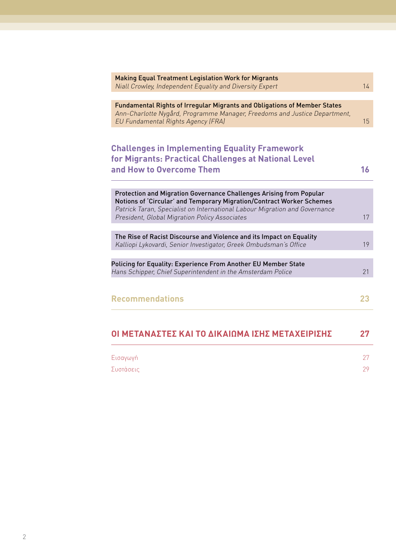| ΟΙ ΜΕΤΑΝΑΣΤΕΣ ΚΑΙ ΤΟ ΔΙΚΑΙΩΜΑ ΙΣΗΣ ΜΕΤΑΧΕΙΡΙΣΗΣ                                                                                                                                                                                                                             | 27 |
|-----------------------------------------------------------------------------------------------------------------------------------------------------------------------------------------------------------------------------------------------------------------------------|----|
|                                                                                                                                                                                                                                                                             |    |
| <b>Recommendations</b>                                                                                                                                                                                                                                                      | 23 |
| Policing for Equality: Experience From Another EU Member State<br>Hans Schipper, Chief Superintendent in the Amsterdam Police                                                                                                                                               | 21 |
| The Rise of Racist Discourse and Violence and its Impact on Equality<br>Kalliopi Lykovardi, Senior Investigator, Greek Ombudsman's Office                                                                                                                                   | 19 |
| Protection and Migration Governance Challenges Arising from Popular<br>Notions of 'Circular' and Temporary Migration/Contract Worker Schemes<br>Patrick Taran, Specialist on International Labour Migration and Governance<br>President, Global Migration Policy Associates | 17 |
| <b>Challenges in Implementing Equality Framework</b><br>for Migrants: Practical Challenges at National Level<br>and How to Overcome Them                                                                                                                                    | 16 |
| Fundamental Rights of Irregular Migrants and Obligations of Member States<br>Ann-Charlotte Nygård, Programme Manager, Freedoms and Justice Department,<br>EU Fundamental Rights Agency (FRA)                                                                                |    |
| <b>Making Equal Treatment Legislation Work for Migrants</b><br>Niall Crowley, Independent Equality and Diversity Expert                                                                                                                                                     | 14 |

| $\overline{\phantom{0}}$ | Συστασεις | nΩ |  |
|--------------------------|-----------|----|--|
|                          |           |    |  |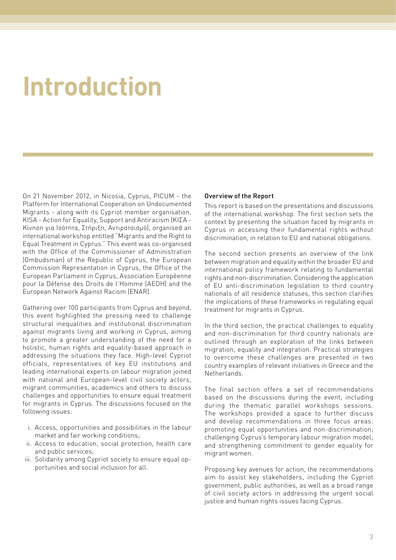# <span id="page-4-0"></span>**Introduction**

On 21 November 2012, in Nicosia, Cyprus, PICUM - the Platform for International Cooperation on Undocumented Migrants - along with its Cypriot member organisation, KISA - Action for Equality, Support and Antiracism (ΚΙΣΑ - Κίνηση για Ισότητα, Στήριξη, Αντιρατσισμό), organised an international workshop entitled "Migrants and the Right to Equal Treatment in Cyprus." This event was co-organised with the Office of the Commissioner of Administration (Ombudsman) of the Republic of Cyprus, the European Commission Representation in Cyprus, the Office of the European Parliament in Cyprus, Association Européenne pour la Défense des Droits de l'Homme (AEDH) and the European Network Against Racism (ENAR).

Gathering over 100 participants from Cyprus and beyond, this event highlighted the pressing need to challenge structural inequalities and institutional discrimination against migrants living and working in Cyprus, aiming to promote a greater understanding of the need for a holistic, human rights and equality-based approach in addressing the situations they face. High-level Cypriot officials, representatives of key EU institutions and leading international experts on labour migration joined with national and European-level civil society actors, migrant communities, academics and others to discuss challenges and opportunities to ensure equal treatment for migrants in Cyprus. The discussions focused on the following issues:

- i. Access, opportunities and possibilities in the labour market and fair working conditions;
- ii. Access to education, social protection, health care and public services;
- iii. Solidarity among Cypriot society to ensure equal opportunities and social inclusion for all.

#### Overview of the Report

This report is based on the presentations and discussions of the international workshop. The first section sets the context by presenting the situation faced by migrants in Cyprus in accessing their fundamental rights without discrimination, in relation to EU and national obligations.

The second section presents an overview of the link between migration and equality within the broader EU and international policy framework relating to fundamental rights and non-discrimination. Considering the application of EU anti-discrimination legislation to third country nationals of all residence statuses, this section clarifies the implications of these frameworks in regulating equal treatment for migrants in Cyprus.

In the third section, the practical challenges to equality and non-discrimination for third country nationals are outlined through an exploration of the links between migration, equality and integration. Practical strategies to overcome these challenges are presented in two country examples of relevant initiatives in Greece and the Netherlands.

The final section offers a set of recommendations based on the discussions during the event, including during the thematic parallel workshops sessions. The workshops provided a space to further discuss and develop recommendations in three focus areas: promoting equal opportunities and non-discrimination; challenging Cyprus's temporary labour migration model; and strengthening commitment to gender equality for migrant women.

Proposing key avenues for action, the recommendations aim to assist key stakeholders, including the Cypriot government, public authorities, as well as a broad range of civil society actors in addressing the urgent social justice and human rights issues facing Cyprus.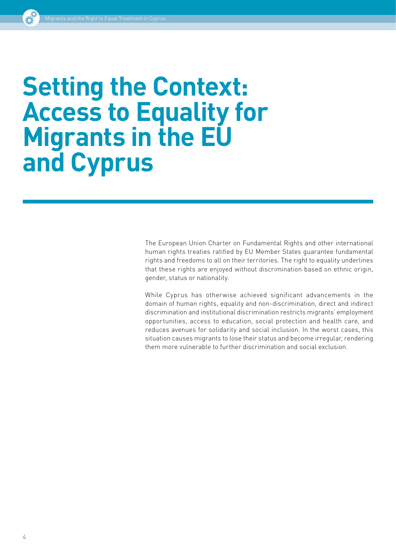# <span id="page-5-0"></span>**Setting the Context: Access to Equality for Migrants in the EU and Cyprus**

The European Union Charter on Fundamental Rights and other international human rights treaties ratified by EU Member States guarantee fundamental rights and freedoms to all on their territories. The right to equality underlines that these rights are enjoyed without discrimination based on ethnic origin, gender, status or nationality.

While Cyprus has otherwise achieved significant advancements in the domain of human rights, equality and non-discrimination, direct and indirect discrimination and institutional discrimination restricts migrants' employment opportunities, access to education, social protection and health care, and reduces avenues for solidarity and social inclusion. In the worst cases, this situation causes migrants to lose their status and become irregular, rendering them more vulnerable to further discrimination and social exclusion.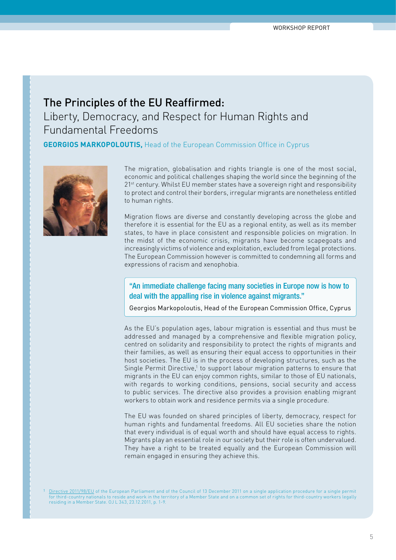# <span id="page-6-0"></span>The Principles of the EU Reaffirmed: Liberty, Democracy, and Respect for Human Rights and Fundamental Freedoms

**GEORGIOS MARKOPOLOUTIS, Head of the European Commission Office in Cyprus** 



The migration, globalisation and rights triangle is one of the most social, economic and political challenges shaping the world since the beginning of the 21<sup>st</sup> century. Whilst EU member states have a sovereign right and responsibility to protect and control their borders, irregular migrants are nonetheless entitled to human rights.

Migration flows are diverse and constantly developing across the globe and therefore it is essential for the EU as a regional entity, as well as its member states, to have in place consistent and responsible policies on migration. In the midst of the economic crisis, migrants have become scapegoats and increasingly victims of violence and exploitation, excluded from legal protections. The European Commission however is committed to condemning all forms and expressions of racism and xenophobia.

#### "An immediate challenge facing many societies in Europe now is how to deal with the appalling rise in violence against migrants."

Georgios Markopoloutis, Head of the European Commission Office, Cyprus

As the EU's population ages, labour migration is essential and thus must be addressed and managed by a comprehensive and flexible migration policy, centred on solidarity and responsibility to protect the rights of migrants and their families, as well as ensuring their equal access to opportunities in their host societies. The EU is in the process of developing structures, such as the Single Permit Directive,<sup>1</sup> to support labour migration patterns to ensure that migrants in the EU can enjoy common rights, similar to those of EU nationals, with regards to working conditions, pensions, social security and access to public services. The directive also provides a provision enabling migrant workers to obtain work and residence permits via a single procedure.

The EU was founded on shared principles of liberty, democracy, respect for human rights and fundamental freedoms. All EU societies share the notion that every individual is of equal worth and should have equal access to rights. Migrants play an essential role in our society but their role is often undervalued. They have a right to be treated equally and the European Commission will remain engaged in ensuring they achieve this.

1 [Directive 2011/98/EU](http://eur-lex.europa.eu/LexUriServ/LexUriServ.do?uri=OJ:L:2011:343:0001:0009:EN:PDF) of the European Parliament and of the Council of 13 December 2011 on a single application procedure for a single permit for third-country nationals to reside and work in the territory of a Member State and on a common set of rights for third-country workers legally residing in a Member State. OJ L 343, 23.12.2011, p. 1-9.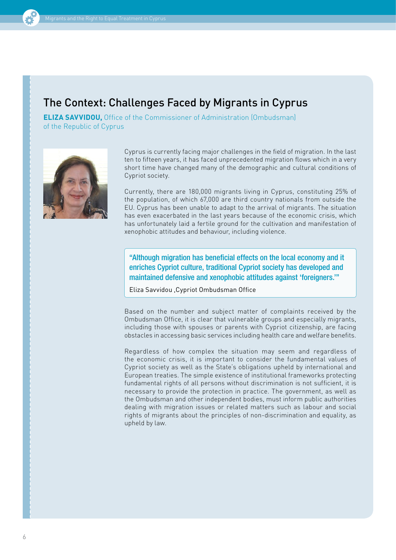# <span id="page-7-0"></span>The Context: Challenges Faced by Migrants in Cyprus

**ELIZA SAVVIDOU,** Office of the Commissioner of Administration (Ombudsman) of the Republic of Cyprus



Cyprus is currently facing major challenges in the field of migration. In the last ten to fifteen years, it has faced unprecedented migration flows which in a very short time have changed many of the demographic and cultural conditions of Cypriot society.

Currently, there are 180,000 migrants living in Cyprus, constituting 25% of the population, of which 67,000 are third country nationals from outside the EU. Cyprus has been unable to adapt to the arrival of migrants. The situation has even exacerbated in the last years because of the economic crisis, which has unfortunately laid a fertile ground for the cultivation and manifestation of xenophobic attitudes and behaviour, including violence.

"Although migration has beneficial effects on the local economy and it enriches Cypriot culture, traditional Cypriot society has developed and maintained defensive and xenophobic attitudes against 'foreigners.'"

Eliza Savvidou ,Cypriot Ombudsman Office

Based on the number and subject matter of complaints received by the Ombudsman Office, it is clear that vulnerable groups and especially migrants, including those with spouses or parents with Cypriot citizenship, are facing obstacles in accessing basic services including health care and welfare benefits.

Regardless of how complex the situation may seem and regardless of the economic crisis, it is important to consider the fundamental values of Cypriot society as well as the State's obligations upheld by international and European treaties. The simple existence of institutional frameworks protecting fundamental rights of all persons without discrimination is not sufficient, it is necessary to provide the protection in practice. The government, as well as the Ombudsman and other independent bodies, must inform public authorities dealing with migration issues or related matters such as labour and social rights of migrants about the principles of non-discrimination and equality, as upheld by law.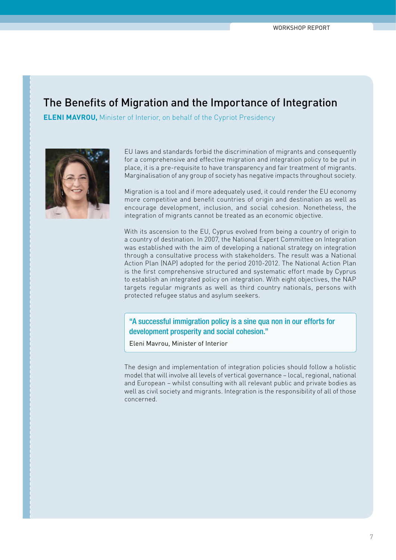### <span id="page-8-0"></span>The Benefits of Migration and the Importance of Integration

**ELENI MAVROU,** Minister of Interior, on behalf of the Cypriot Presidency



EU laws and standards forbid the discrimination of migrants and consequently for a comprehensive and effective migration and integration policy to be put in place, it is a pre-requisite to have transparency and fair treatment of migrants. Marginalisation of any group of society has negative impacts throughout society.

Migration is a tool and if more adequately used, it could render the EU economy more competitive and benefit countries of origin and destination as well as encourage development, inclusion, and social cohesion. Nonetheless, the integration of migrants cannot be treated as an economic objective.

With its ascension to the EU, Cyprus evolved from being a country of origin to a country of destination. In 2007, the National Expert Committee on Integration was established with the aim of developing a national strategy on integration through a consultative process with stakeholders. The result was a National Action Plan (NAP) adopted for the period 2010-2012. The National Action Plan is the first comprehensive structured and systematic effort made by Cyprus to establish an integrated policy on integration. With eight objectives, the NAP targets regular migrants as well as third country nationals, persons with protected refugee status and asylum seekers.

"A successful immigration policy is a sine qua non in our efforts for development prosperity and social cohesion."

Eleni Mavrou, Minister of Interior

The design and implementation of integration policies should follow a holistic model that will involve all levels of vertical governance – local, regional, national and European – whilst consulting with all relevant public and private bodies as well as civil society and migrants. Integration is the responsibility of all of those concerned.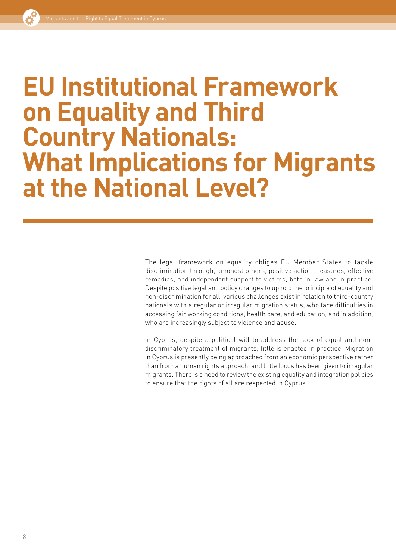# <span id="page-9-0"></span>**EU Institutional Framework on Equality and Third Country Nationals: What Implications for Migrants at the National Level?**

The legal framework on equality obliges EU Member States to tackle discrimination through, amongst others, positive action measures, effective remedies, and independent support to victims, both in law and in practice. Despite positive legal and policy changes to uphold the principle of equality and non-discrimination for all, various challenges exist in relation to third-country nationals with a regular or irregular migration status, who face difficulties in accessing fair working conditions, health care, and education, and in addition, who are increasingly subject to violence and abuse.

In Cyprus, despite a political will to address the lack of equal and nondiscriminatory treatment of migrants, little is enacted in practice. Migration in Cyprus is presently being approached from an economic perspective rather than from a human rights approach, and little focus has been given to irregular migrants. There is a need to review the existing equality and integration policies to ensure that the rights of all are respected in Cyprus.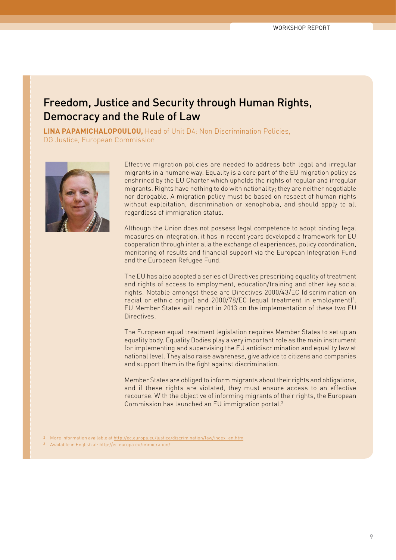### <span id="page-10-0"></span>Freedom, Justice and Security through Human Rights, Democracy and the Rule of Law

**Lina Papamichalopoulou,** Head of Unit D4: Non Discrimination Policies, DG Justice, European Commission



Effective migration policies are needed to address both legal and irregular migrants in a humane way. Equality is a core part of the EU migration policy as enshrined by the EU Charter which upholds the rights of regular and irregular migrants. Rights have nothing to do with nationality; they are neither negotiable nor derogable. A migration policy must be based on respect of human rights without exploitation, discrimination or xenophobia, and should apply to all regardless of immigration status.

Although the Union does not possess legal competence to adopt binding legal measures on integration, it has in recent years developed a framework for EU cooperation through inter alia the exchange of experiences, policy coordination, monitoring of results and financial support via the European Integration Fund and the European Refugee Fund.

The EU has also adopted a series of Directives prescribing equality of treatment and rights of access to employment, education/training and other key social rights. Notable amongst these are Directives 2000/43/EC (discrimination on racial or ethnic origin) and 2000/78/EC (equal treatment in employment)<sup>2</sup>. EU Member States will report in 2013 on the implementation of these two EU Directives.

The European equal treatment legislation requires Member States to set up an equality body. Equality Bodies play a very important role as the main instrument for implementing and supervising the EU antidiscrimination and equality law at national level. They also raise awareness, give advice to citizens and companies and support them in the fight against discrimination.

Member States are obliged to inform migrants about their rights and obligations, and if these rights are violated, they must ensure access to an effective recourse. With the objective of informing migrants of their rights, the European Commission has launched an EU immigration portal.2

- 2 More information available at [http://ec.europa.eu/justice/discrimination/law/index\\_en.htm](http://ec.europa.eu/justice/discrimination/law/index_en.htm)
- Available in English at: <http://ec.europa.eu/immigration/>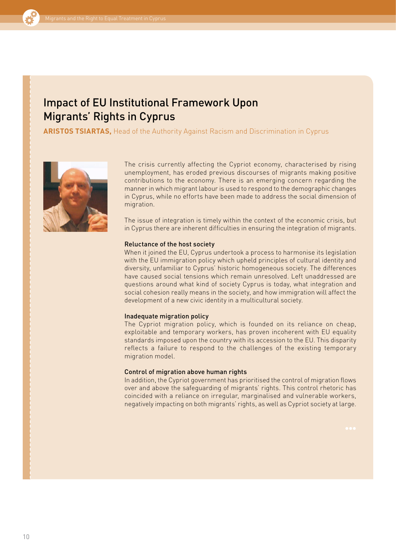## <span id="page-11-0"></span>Impact of EU Institutional Framework Upon Migrants' Rights in Cyprus

**Aristos Tsiartas,** Head of the Authority Against Racism and Discrimination in Cyprus



The crisis currently affecting the Cypriot economy, characterised by rising unemployment, has eroded previous discourses of migrants making positive contributions to the economy. There is an emerging concern regarding the manner in which migrant labour is used to respond to the demographic changes in Cyprus, while no efforts have been made to address the social dimension of migration.

The issue of integration is timely within the context of the economic crisis, but in Cyprus there are inherent difficulties in ensuring the integration of migrants.

#### Reluctance of the host society

When it joined the EU, Cyprus undertook a process to harmonise its legislation with the EU immigration policy which upheld principles of cultural identity and diversity, unfamiliar to Cyprus' historic homogeneous society. The differences have caused social tensions which remain unresolved. Left unaddressed are questions around what kind of society Cyprus is today, what integration and social cohesion really means in the society, and how immigration will affect the development of a new civic identity in a multicultural society.

#### Inadequate migration policy

The Cypriot migration policy, which is founded on its reliance on cheap, exploitable and temporary workers, has proven incoherent with EU equality standards imposed upon the country with its accession to the EU. This disparity reflects a failure to respond to the challenges of the existing temporary migration model.

#### Control of migration above human rights

In addition, the Cypriot government has prioritised the control of migration flows over and above the safeguarding of migrants' rights. This control rhetoric has coincided with a reliance on irregular, marginalised and vulnerable workers, negatively impacting on both migrants' rights, as well as Cypriot society at large.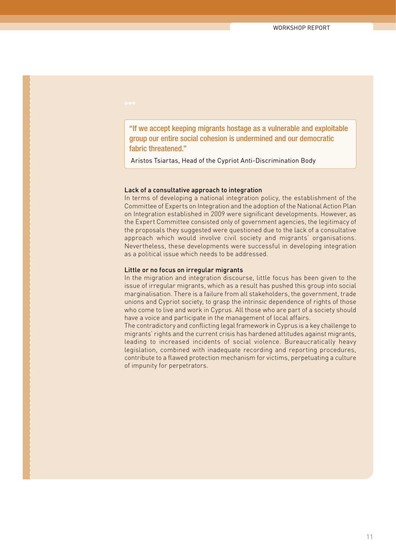"If we accept keeping migrants hostage as a vulnerable and exploitable group our entire social cohesion is undermined and our democratic fabric threatened."

Aristos Tsiartas, Head of the Cypriot Anti-Discrimination Body

#### Lack of a consultative approach to integration

In terms of developing a national integration policy, the establishment of the Committee of Experts on Integration and the adoption of the National Action Plan on Integration established in 2009 were significant developments. However, as the Expert Committee consisted only of government agencies, the legitimacy of the proposals they suggested were questioned due to the lack of a consultative approach which would involve civil society and migrants' organisations. Nevertheless, these developments were successful in developing integration as a political issue which needs to be addressed.

#### Little or no focus on irregular migrants

In the migration and integration discourse, little focus has been given to the issue of irregular migrants, which as a result has pushed this group into social marginalisation. There is a failure from all stakeholders, the government, trade unions and Cypriot society, to grasp the intrinsic dependence of rights of those who come to live and work in Cyprus. All those who are part of a society should have a voice and participate in the management of local affairs.

The contradictory and conflicting legal framework in Cyprus is a key challenge to migrants' rights and the current crisis has hardened attitudes against migrants, leading to increased incidents of social violence. Bureaucratically heavy legislation, combined with inadequate recording and reporting procedures, contribute to a flawed protection mechanism for victims, perpetuating a culture of impunity for perpetrators.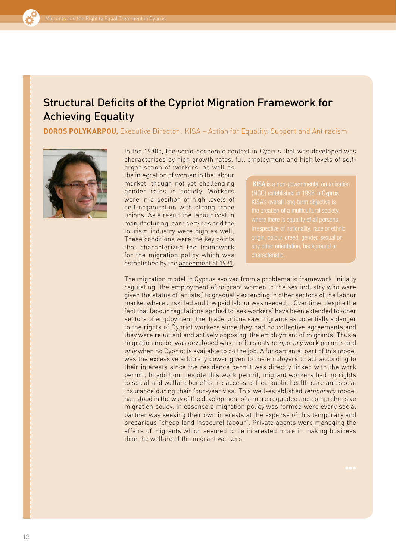## <span id="page-13-0"></span>Structural Deficits of the Cypriot Migration Framework for Achieving Equality

**DOROS POLYKARPOU,** Executive Director, KISA – Action for Equality, Support and Antiracism



characterised by high growth rates, full employment and high levels of selforganisation of workers, as well as the integration of women in the labour market, though not yet challenging gender roles in society. Workers were in a position of high levels of self-organization with strong trade unions. As a result the labour cost in manufacturing, care services and the tourism industry were high as well. These conditions were the key points that characterized the framework for the migration policy which was established by the [agreement of 1991.](http://www.mlsi.gov.cy/mlsi/dl/dl.nsf/dmlcriteria_en/dmlcriteria_en?OpenDocument)

**[KISA](http://www.unhcr.org/refworld/type,AMICUS,,,4e1b10bc2,0.html)** is a non-governmental organisation origin, colour, creed, gender, sexual or

The migration model in Cyprus evolved from a problematic framework initially regulating the employment of migrant women in the sex industry who were given the status of 'artists,' to gradually extending in other sectors of the labour market where unskilled and low paid labour was needed,. . Over time, despite the fact that labour regulations applied to 'sex workers' have been extended to other sectors of employment, the trade unions saw migrants as potentially a danger to the rights of Cypriot workers since they had no collective agreements and they were reluctant and actively opposing the employment of migrants. Thus a migration model was developed which offers only temporary work permits and only when no Cypriot is available to do the job. A fundamental part of this model was the excessive arbitrary power given to the employers to act according to their interests since the residence permit was directly linked with the work permit. In addition, despite this work permit, migrant workers had no rights to social and welfare benefits, no access to free public health care and social insurance during their four-year visa. This well-established temporary model has stood in the way of the development of a more regulated and comprehensive migration policy. In essence a migration policy was formed were every social partner was seeking their own interests at the expense of this temporary and precarious "cheap (and insecure) labour". Private agents were managing the affairs of migrants which seemed to be interested more in making business than the welfare of the migrant workers.

In the 1980s, the socio-economic context in Cyprus that was developed was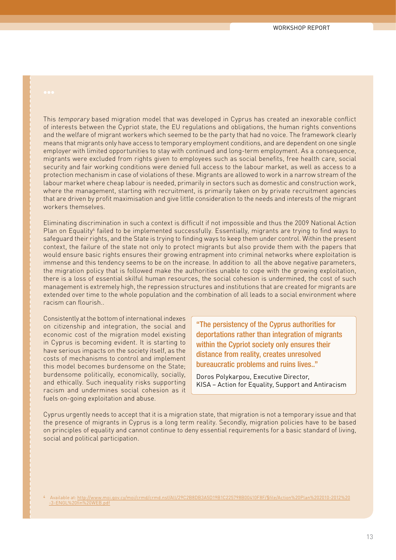This temporary based migration model that was developed in Cyprus has created an inexorable conflict of interests between the Cypriot state, the EU regulations and obligations, the human rights conventions and the welfare of migrant workers which seemed to be the party that had no voice. The framework clearly means that migrants only have access to temporary employment conditions, and are dependent on one single employer with limited opportunities to stay with continued and long-term employment. As a consequence, migrants were excluded from rights given to employees such as social benefits, free health care, social security and fair working conditions were denied full access to the labour market, as well as access to a protection mechanism in case of violations of these. Migrants are allowed to work in a narrow stream of the labour market where cheap labour is needed, primarily in sectors such as domestic and construction work, where the management, starting with recruitment, is primarily taken on by private recruitment agencies that are driven by profit maximisation and give little consideration to the needs and interests of the migrant workers themselves.

Eliminating discrimination in such a context is difficult if not impossible and thus the 2009 National Action Plan on Equality<sup>4</sup> failed to be implemented successfully. Essentially, migrants are trying to find ways to safeguard their rights, and the State is trying to finding ways to keep them under control. Within the present context, the failure of the state not only to protect migrants but also provide them with the papers that would ensure basic rights ensures their growing entrapment into criminal networks where exploitation is immense and this tendency seems to be on the increase. In addition to all the above negative parameters, the migration policy that is followed make the authorities unable to cope with the growing exploitation, there is a loss of essential skilful human resources, the social cohesion is undermined, the cost of such management is extremely high, the repression structures and institutions that are created for migrants are extended over time to the whole population and the combination of all leads to a social environment where racism can flourish..

Consistently at the bottom of international indexes on citizenship and integration, the social and economic cost of the migration model existing in Cyprus is becoming evident. It is starting to have serious impacts on the society itself, as the costs of mechanisms to control and implement this model becomes burdensome on the State; burdensome politically, economically, socially, and ethically. Such inequality risks supporting racism and undermines social cohesion as it fuels on-going exploitation and abuse.

"The persistency of the Cyprus authorities for deportations rather than integration of migrants within the Cypriot society only ensures their distance from reality, creates unresolved bureaucratic problems and ruins lives.."

Doros Polykarpou, Executive Director, KISA – Action for Equality, Support and Antiracism

Cyprus urgently needs to accept that it is a migration state, that migration is not a temporary issue and that the presence of migrants in Cyprus is a long term reality. Secondly, migration policies have to be based on principles of equality and cannot continue to deny essential requirements for a basic standard of living, social and political participation.

<sup>4</sup> Available at: [http://www.moi.gov.cy/moi/crmd/crmd.nsf/All/29C2B8DB3A5D19B1C225798B00410F8F/\\$file/Action%20Plan%202010-2012%20](http://www.moi.gov.cy/moi/crmd/crmd.nsf/All/29C2B8DB3A5D19B1C225798B00410F8F/$file/Action%20Plan%202010-2012%20-3-ENGL%20fin%20WEB.pdf) [-3-ENGL%20fin%20WEB.pdf](http://www.moi.gov.cy/moi/crmd/crmd.nsf/All/29C2B8DB3A5D19B1C225798B00410F8F/$file/Action%20Plan%202010-2012%20-3-ENGL%20fin%20WEB.pdf)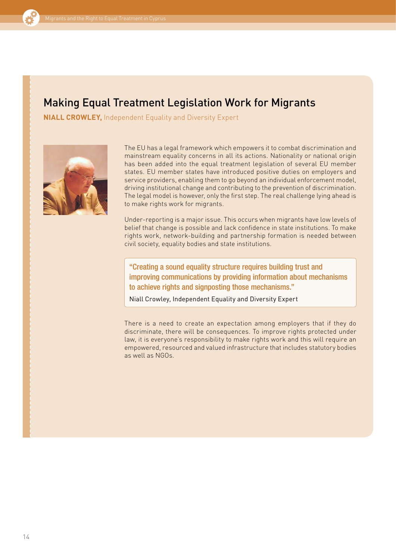# <span id="page-15-0"></span>Making Equal Treatment Legislation Work for Migrants

**Niall Crowley,** Independent Equality and Diversity Expert



The EU has a legal framework which empowers it to combat discrimination and mainstream equality concerns in all its actions. Nationality or national origin has been added into the equal treatment legislation of several EU member states. EU member states have introduced positive duties on employers and service providers, enabling them to go beyond an individual enforcement model, driving institutional change and contributing to the prevention of discrimination. The legal model is however, only the first step. The real challenge lying ahead is to make rights work for migrants.

Under-reporting is a major issue. This occurs when migrants have low levels of belief that change is possible and lack confidence in state institutions. To make rights work, network-building and partnership formation is needed between civil society, equality bodies and state institutions.

"Creating a sound equality structure requires building trust and improving communications by providing information about mechanisms to achieve rights and signposting those mechanisms."

Niall Crowley, Independent Equality and Diversity Expert

There is a need to create an expectation among employers that if they do discriminate, there will be consequences. To improve rights protected under law, it is everyone's responsibility to make rights work and this will require an empowered, resourced and valued infrastructure that includes statutory bodies as well as NGOs.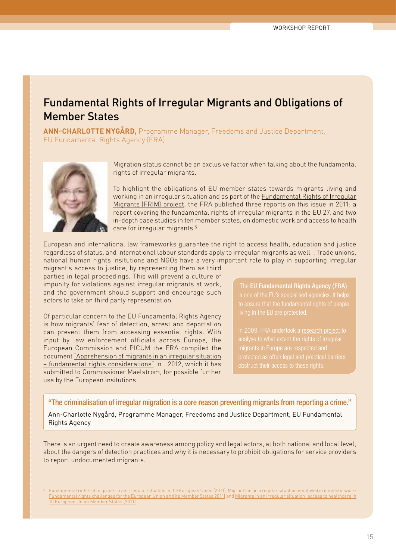### <span id="page-16-0"></span>Fundamental Rights of Irregular Migrants and Obligations of Member States

**Ann-Charlotte Nygård,** Programme Manager, Freedoms and Justice Department, EU Fundamental Rights Agency (FRA)



Migration status cannot be an exclusive factor when talking about the fundamental rights of irregular migrants.

To highlight the obligations of EU member states towards migrants living and working in an irregular situation and as part of the [Fundamental Rights of Irregular](http://fra.europa.eu/en/project/2012/situation-migrants-irregular-situation-european-union)  [Migrants \(FRIM\) project,](http://fra.europa.eu/en/project/2012/situation-migrants-irregular-situation-european-union) the FRA published three reports on this issue in 2011: a report covering the fundamental rights of irregular migrants in the EU 27, and two in-depth case studies in ten member states, on domestic work and access to health care for irregular migrants.5

European and international law frameworks guarantee the right to access health, education and justice regardless of status, and international labour standards apply to irregular migrants as well . Trade unions, national human rights insitutions and NGOs have a very important role to play in supporting irregular

migrant's access to justice, by representing them as third parties in legal proceedings. This will prevent a culture of impunity for violations against irregular migrants at work, and the government should support and encourage such actors to take on third party representation.

Of particular concern to the EU Fundamental Rights Agency is how migrants' fear of detection, arrest and deportation can prevent them from accessing essential rights. With input by law enforcement officials across Europe, the European Commission and PICUM the FRA compiled the document ["Apprehension of migrants in an irregular situation](http://fra.europa.eu/en/sites/default/files/document-on-apprehensions_1.pdf)  [– fundamental rights considerations"](http://fra.europa.eu/en/sites/default/files/document-on-apprehensions_1.pdf) in 2012, which it has submitted to Commissioner Maelstrom, for possible further usa by the European insitutions.

The **EU Fundamental Rights Agency (FRA)** 

"The criminalisation of irregular migration is a core reason preventing migrants from reporting a crime."

Ann-Charlotte Nygård, Programme Manager, Freedoms and Justice Department, EU Fundamental Rights Agency

There is an urgent need to create awareness among policy and legal actors, at both national and local level, about the dangers of detection practices and why it is necessary to prohibit obligations for service providers to report undocumented migrants.

<sup>5</sup> [Fundamental rights of migrants in an irregular situation in the European Union](http://fra.europa.eu/en/publication/2012/fundamental-rights-migrants-irregular-situation-european-union) (2011), [Migrants in an irregular situation employed in domestic work:](http://fra.europa.eu/en/publication/2012/migrants-irregular-situation-employed-domestic-work-fundamental-rights-challenges)  Member States 2011) and Migrants in an irregular [10 European Union Member States](http://fra.europa.eu/en/publication/2012/migrants-irregular-situation-access-healthcare-10-european-union-member-states) (2011)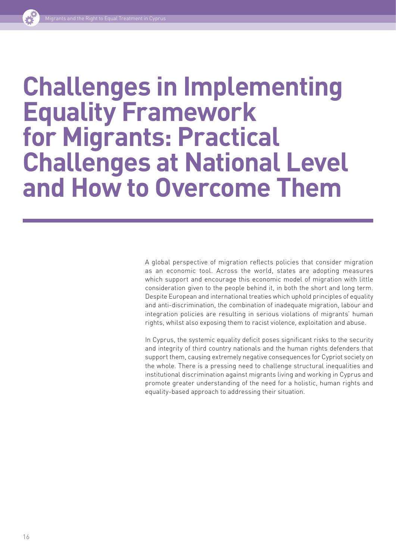# <span id="page-17-0"></span>**Challenges in Implementing Equality Framework for Migrants: Practical Challenges at National Level and How to Overcome Them**

A global perspective of migration reflects policies that consider migration as an economic tool. Across the world, states are adopting measures which support and encourage this economic model of migration with little consideration given to the people behind it, in both the short and long term. Despite European and international treaties which uphold principles of equality and anti-discrimination, the combination of inadequate migration, labour and integration policies are resulting in serious violations of migrants' human rights, whilst also exposing them to racist violence, exploitation and abuse.

In Cyprus, the systemic equality deficit poses significant risks to the security and integrity of third country nationals and the human rights defenders that support them, causing extremely negative consequences for Cypriot society on the whole. There is a pressing need to challenge structural inequalities and institutional discrimination against migrants living and working in Cyprus and promote greater understanding of the need for a holistic, human rights and equality-based approach to addressing their situation.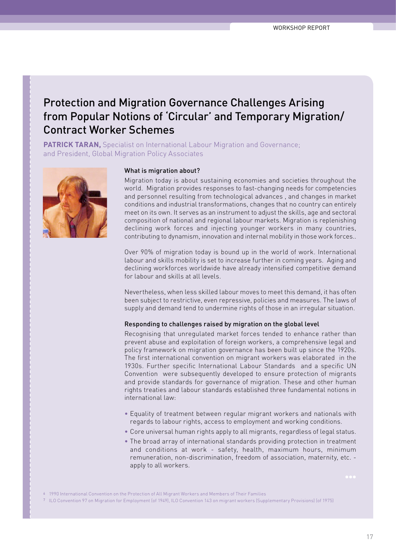## <span id="page-18-0"></span>Protection and Migration Governance Challenges Arising from Popular Notions of 'Circular' and Temporary Migration/ Contract Worker Schemes

**PATRICK TARAN,** Specialist on International Labour Migration and Governance; and President, Global Migration Policy Associates



#### What is migration about?

Migration today is about sustaining economies and societies throughout the world. Migration provides responses to fast-changing needs for competencies and personnel resulting from technological advances , and changes in market conditions and industrial transformations, changes that no country can entirely meet on its own. It serves as an instrument to adjust the skills, age and sectoral composition of national and regional labour markets. Migration is replenishing declining work forces and injecting younger workers in many countries, contributing to dynamism, innovation and internal mobility in those work forces..

Over 90% of migration today is bound up in the world of work. International labour and skills mobility is set to increase further in coming years. Aging and declining workforces worldwide have already intensified competitive demand for labour and skills at all levels.

Nevertheless, when less skilled labour moves to meet this demand, it has often been subject to restrictive, even repressive, policies and measures. The laws of supply and demand tend to undermine rights of those in an irregular situation.

#### Responding to challenges raised by migration on the global level

Recognising that unregulated market forces tended to enhance rather than prevent abuse and exploitation of foreign workers, a comprehensive legal and policy framework on migration governance has been built up since the 1920s. The first international convention on migrant workers was elaborated in the 1930s. Further specific International Labour Standards and a specific UN Convention were subsequently developed to ensure protection of migrants and provide standards for governance of migration. These and other human rights treaties and labour standards established three fundamental notions in international law:

- Equality of treatment between regular migrant workers and nationals with regards to labour rights, access to employment and working conditions.
- Core universal human rights apply to all migrants, regardless of legal status.
- The broad array of international standards providing protection in treatment and conditions at work - safety, health, maximum hours, minimum remuneration, non-discrimination, freedom of association, maternity, etc. apply to all workers.

6 1990 International Convention on the Protection of All Migrant Workers and Members of Their Families

7 ILO Convention 97 on Migration for Employment (of 1949), ILO Convention 143 on migrant workers (Supplementary Provisions) (of 1975)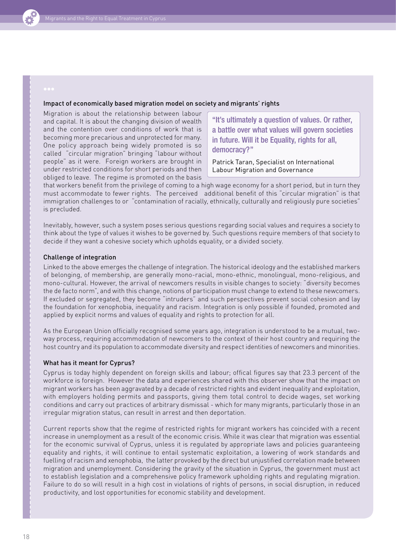

#### Impact of economically based migration model on society and migrants' rights

Migration is about the relationship between labour and capital. It is about the changing division of wealth and the contention over conditions of work that is becoming more precarious and unprotected for many. One policy approach being widely promoted is so called "circular migration" bringing "labour without people" as it were. Foreign workers are brought in under restricted conditions for short periods and then obliged to leave. The regime is promoted on the basis

"It's ultimately a question of values. Or rather, a battle over what values will govern societies in future. Will it be Equality, rights for all, democracy?"

Patrick Taran, Specialist on International Labour Migration and Governance

that workers benefit from the privilege of coming to a high wage economy for a short period, but in turn they must accommodate to fewer rights. The perceived additional benefit of this "circular migration" is that immigration challenges to or "contamination of racially, ethnically, culturally and religiously pure societies" is precluded.

Inevitably, however, such a system poses serious questions regarding social values and requires a society to think about the type of values it wishes to be governed by. Such questions require members of that society to decide if they want a cohesive society which upholds equality, or a divided society.

#### Challenge of integration

Linked to the above emerges the challenge of integration. The historical ideology and the established markers of belonging, of membership, are generally mono-racial, mono-ethnic, monolingual, mono-religious, and mono-cultural. However, the arrival of newcomers results in visible changes to society: "diversity becomes the de facto norm", and with this change, notions of participation must change to extend to these newcomers. If excluded or segregated, they become "intruders" and such perspectives prevent social cohesion and lay the foundation for xenophobia, inequality and racism. Integration is only possible if founded, promoted and applied by explicit norms and values of equality and rights to protection for all.

As the European Union officially recognised some years ago, integration is understood to be a mutual, twoway process, requiring accommodation of newcomers to the context of their host country and requiring the host country and its population to accommodate diversity and respect identities of newcomers and minorities.

#### What has it meant for Cyprus?

Cyprus is today highly dependent on foreign skills and labour; offical figures say that 23.3 percent of the workforce is foreign. However the data and experiences shared with this observer show that the impact on migrant workers has been aggravated by a decade of restricted rights and evident inequality and exploitation, with employers holding permits and passports, giving them total control to decide wages, set working conditions and carry out practices of arbitrary dismissal - which for many migrants, particularly those in an irregular migration status, can result in arrest and then deportation.

Current reports show that the regime of restricted rights for migrant workers has coincided with a recent increase in unemployment as a result of the economic crisis. While it was clear that migration was essential for the economic survival of Cyprus, unless it is regulated by appropriate laws and policies guaranteeing equality and rights, it will continue to entail systematic exploitation, a lowering of work standards and fuelling of racism and xenophobia, the latter provoked by the direct but unjustified correlation made between migration and unemployment. Considering the gravity of the situation in Cyprus, the government must act to establish legislation and a comprehensive policy framework upholding rights and regulating migration. Failure to do so will result in a high cost in violations of rights of persons, in social disruption, in reduced productivity, and lost opportunities for economic stability and development.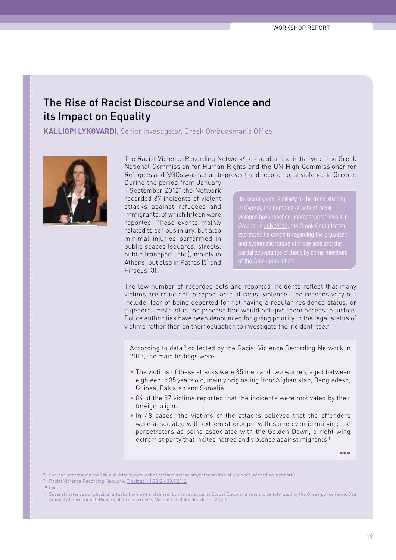### <span id="page-20-0"></span>The Rise of Racist Discourse and Violence and its Impact on Equality

**Kalliopi Lykovardi,** Senior Investigator, Greek Ombudsman's Office



The Racist Violence Recording Network<sup>8</sup> created at the initiative of the Greek National Commission for Human Rights and the UN High Commissioner for Refugees and NGOs was set up to prevent and record racist violence in Greece. During the period from January

- September 2012<sup>9</sup> the Network recorded 87 incidents of violent attacks against refugees and immigrants, of which fifteen were reported. These events mainly related to serious injury, but also minimal injuries performed in public spaces (squares, streets, public transport, etc.), mainly in Athens, but also in Patras (5) and Piraeus (3).

in Cyprus, the numbers of acts of racist Greece. In [July 2012](http://www2.ohchr.org/english/bodies/question.htm), the Greek Ombudsman

The low number of recorded acts and reported incidents reflect that many victims are reluctant to report acts of racist violence. The reasons vary but include: fear of being deported for not having a regular residence status, or a general mistrust in the process that would not give them access to justice. Police authorities have been denounced for giving priority to the legal status of victims rather than on their obligation to investigate the incident itself.

According to data<sup>10</sup> collected by the Racist Violence Recording Network in 2012, the main findings were:

- The victims of these attacks were 85 men and two women, aged between eighteen to 35 years old, mainly originating from Afghanistan, Bangladesh, Guinea, Pakistan and Somalia.
- 84 of the 87 victims reported that the incidents were motivated by their foreign origin.
- In 48 cases, the victims of the attacks believed that the offenders were associated with extremist groups, with some even identifying the perpetrators as being associated with the Golden Dawn, a right-wing extremist party that incites hatred and violence against migrants.<sup>11</sup>

…

8 Further information available at:<http://www.unhcr.gr/1againstracism/category/racist-violence-recording-network/>

9 Racist Violence Recording Network, [Findings 1.1.2012 - 30.9.2012](http://www.unhcr.gr/fileadmin/Greece/News/2012/pr/ConclusionsOctober2012EN.pdf)

10 Ibid.

11 Several instances of physical attacks have been 'claimed' by the racist party Global Dawn and seem to be tolerated by the Greek police force. See Amnesty International, [Police violence in Greece, Not Just 'Isolated Incidents](https://doc.es.amnesty.org/cgi-bin/ai/BRSCGI/3724_Greece_cover_%20%20contents%20web?CMD=VEROBJ&MLKOB=31754011212) (2012)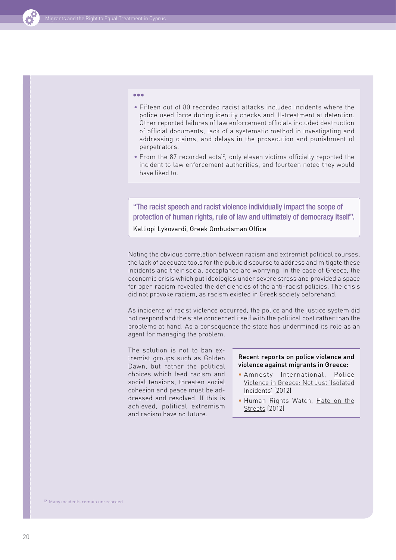

#### …

- Fifteen out of 80 recorded racist attacks included incidents where the police used force during identity checks and ill-treatment at detention. Other reported failures of law enforcement officials included destruction of official documents, lack of a systematic method in investigating and addressing claims, and delays in the prosecution and punishment of perpetrators.
- From the 87 recorded acts<sup>12</sup>, only eleven victims officially reported the incident to law enforcement authorities, and fourteen noted they would have liked to.

#### "The racist speech and racist violence individually impact the scope of protection of human rights, rule of law and ultimately of democracy itself".

Kalliopi Lykovardi, Greek Ombudsman Office

Noting the obvious correlation between racism and extremist political courses, the lack of adequate tools for the public discourse to address and mitigate these incidents and their social acceptance are worrying. In the case of Greece, the economic crisis which put ideologies under severe stress and provided a space for open racism revealed the deficiencies of the anti-racist policies. The crisis did not provoke racism, as racism existed in Greek society beforehand.

As incidents of racist violence occurred, the police and the justice system did not respond and the state concerned itself with the political cost rather than the problems at hand. As a consequence the state has undermined its role as an agent for managing the problem.

The solution is not to ban extremist groups such as Golden Dawn, but rather the political choices which feed racism and social tensions, threaten social cohesion and peace must be addressed and resolved. If this is achieved, political extremism and racism have no future.

#### Recent reports on police violence and violence against migrants in Greece:

- Amnesty International, [Police](https://doc.es.amnesty.org/cgi-bin/ai/BRSCGI/3724_Greece_cover_%20%20contents%20web?CMD=VEROBJ&MLKOB=31754011212)  [Violence in Greece: Not Just 'Isolated](https://doc.es.amnesty.org/cgi-bin/ai/BRSCGI/3724_Greece_cover_%20%20contents%20web?CMD=VEROBJ&MLKOB=31754011212)  [Incidents'](https://doc.es.amnesty.org/cgi-bin/ai/BRSCGI/3724_Greece_cover_%20%20contents%20web?CMD=VEROBJ&MLKOB=31754011212) (2012)
- Human Rights Watch, [Hate on the](http://www.hrw.org/reports/2012/07/10/hate-streets-0)  [Streets \(2012\)](http://www.hrw.org/reports/2012/07/10/hate-streets-0)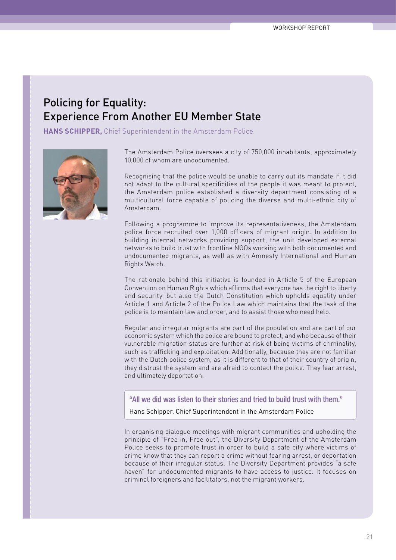## <span id="page-22-0"></span>Policing for Equality: Experience From Another EU Member State

**HANS SCHIPPER,** Chief Superintendent in the Amsterdam Police



The Amsterdam Police oversees a city of 750,000 inhabitants, approximately 10,000 of whom are undocumented.

Recognising that the police would be unable to carry out its mandate if it did not adapt to the cultural specificities of the people it was meant to protect, the Amsterdam police established a diversity department consisting of a multicultural force capable of policing the diverse and multi-ethnic city of Amsterdam.

Following a programme to improve its representativeness, the Amsterdam police force recruited over 1,000 officers of migrant origin. In addition to building internal networks providing support, the unit developed external networks to build trust with frontline NGOs working with both documented and undocumented migrants, as well as with Amnesty International and Human Rights Watch.

The rationale behind this initiative is founded in Article 5 of the European Convention on Human Rights which affirms that everyone has the right to liberty and security, but also the Dutch Constitution which upholds equality under Article 1 and Article 2 of the Police Law which maintains that the task of the police is to maintain law and order, and to assist those who need help.

Regular and irregular migrants are part of the population and are part of our economic system which the police are bound to protect, and who because of their vulnerable migration status are further at risk of being victims of criminality, such as trafficking and exploitation. Additionally, because they are not familiar with the Dutch police system, as it is different to that of their country of origin, they distrust the system and are afraid to contact the police. They fear arrest, and ultimately deportation.

"All we did was listen to their stories and tried to build trust with them."

Hans Schipper, Chief Superintendent in the Amsterdam Police

In organising dialogue meetings with migrant communities and upholding the principle of "Free in, Free out", the Diversity Department of the Amsterdam Police seeks to promote trust in order to build a safe city where victims of crime know that they can report a crime without fearing arrest, or deportation because of their irregular status. The Diversity Department provides "a safe haven" for undocumented migrants to have access to justice. It focuses on criminal foreigners and facilitators, not the migrant workers.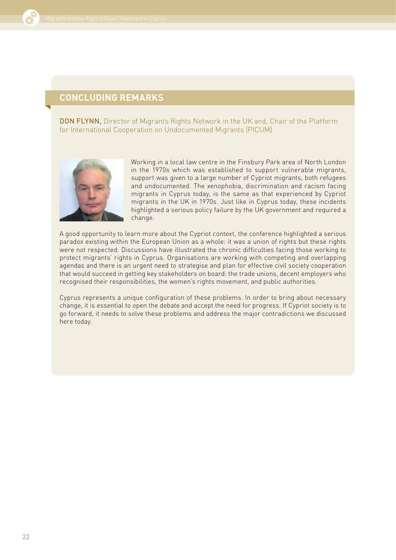

### **Concluding remarks**

DON FLYNN, Director of Migrants Rights Network in the UK and, Chair of the Platform for International Cooperation on Undocumented Migrants (PICUM)



Working in a local law centre in the Finsbury Park area of North London in the 1970s which was established to support vulnerable migrants, support was given to a large number of Cypriot migrants, both refugees and undocumented. The xenophobia, discrimination and racism facing migrants in Cyprus today, is the same as that experienced by Cypriot migrants in the UK in 1970s. Just like in Cyprus today, these incidents highlighted a serious policy failure by the UK government and required a change.

A good opportunity to learn more about the Cypriot context, the conference highlighted a serious paradox existing within the European Union as a whole: it was a union of rights but these rights were not respected. Discussions have illustrated the chronic difficulties facing those working to protect migrants' rights in Cyprus. Organisations are working with competing and overlapping agendas and there is an urgent need to strategise and plan for effective civil society cooperation that would succeed in getting key stakeholders on board: the trade unions, decent employers who recognised their responsibilities, the women's rights movement, and public authorities.

Cyprus represents a unique configuration of these problems. In order to bring about necessary change, it is essential to open the debate and accept the need for progress. If Cypriot society is to go forward, it needs to solve these problems and address the major contradictions we discussed here today.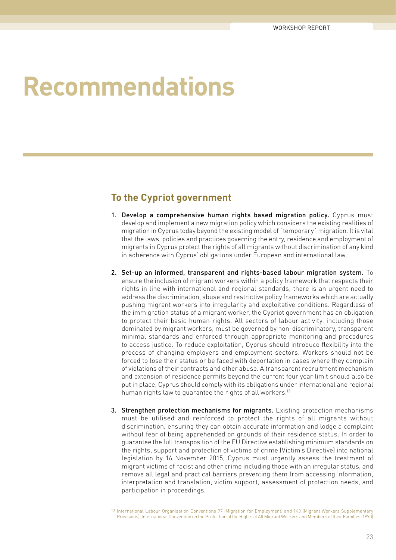# <span id="page-24-0"></span>**Recommendations**

### **To the Cypriot government**

- 1. Develop a comprehensive human rights based migration policy. Cyprus must develop and implement a new migration policy which considers the existing realities of migration in Cyprus today beyond the existing model of ´temporary´ migration. It is vital that the laws, policies and practices governing the entry, residence and employment of migrants in Cyprus protect the rights of all migrants without discrimination of any kind in adherence with Cyprus' obligations under European and international law.
- 2. Set-up an informed, transparent and rights-based labour migration system. To ensure the inclusion of migrant workers within a policy framework that respects their rights in line with international and regional standards, there is an urgent need to address the discrimination, abuse and restrictive policy frameworks which are actually pushing migrant workers into irregularity and exploitative conditions. Regardless of the immigration status of a migrant worker, the Cypriot government has an obligation to protect their basic human rights. All sectors of labour activity, including those dominated by migrant workers, must be governed by non-discriminatory, transparent minimal standards and enforced through appropriate monitoring and procedures to access justice. To reduce exploitation, Cyprus should introduce flexibility into the process of changing employers and employment sectors. Workers should not be forced to lose their status or be faced with deportation in cases where they complain of violations of their contracts and other abuse. A transparent recruitment mechanism and extension of residence permits beyond the current four year limit should also be put in place. Cyprus should comply with its obligations under international and regional human rights law to quarantee the rights of all workers.<sup>13</sup>
- 3. Strengthen protection mechanisms for migrants. Existing protection mechanisms must be utilised and reinforced to protect the rights of all migrants without discrimination, ensuring they can obtain accurate information and lodge a complaint without fear of being apprehended on grounds of their residence status. In order to guarantee the full transposition of the EU Directive establishing minimum standards on the rights, support and protection of victims of crime (Victim's Directive) into national legislation by 16 November 2015, Cyprus must urgently assess the treatment of migrant victims of racist and other crime including those with an irregular status, and remove all legal and practical barriers preventing them from accessing information, interpretation and translation, victim support, assessment of protection needs, and participation in proceedings.

<sup>13</sup> International Labour Organisation Conventions 97 (Migration for Employment) and 143 (Migrant Workers Supplementary Provisions); International Convention on the Protection of the Rights of All Migrant Workers and Members of their Families (1990)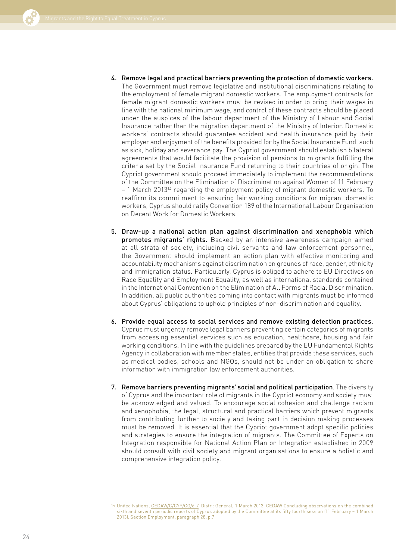

- 4. Remove legal and practical barriers preventing the protection of domestic workers. The Government must remove legislative and institutional discriminations relating to the employment of female migrant domestic workers. The employment contracts for female migrant domestic workers must be revised in order to bring their wages in line with the national minimum wage, and control of these contracts should be placed under the auspices of the labour department of the Ministry of Labour and Social Insurance rather than the migration department of the Ministry of Interior. Domestic workers' contracts should guarantee accident and health insurance paid by their employer and enjoyment of the benefits provided for by the Social Insurance Fund, such as sick, holiday and severance pay. The Cypriot government should establish bilateral agreements that would facilitate the provision of pensions to migrants fulfilling the criteria set by the Social Insurance Fund returning to their countries of origin. The Cypriot government should proceed immediately to implement the recommendations of the Committee on the Elimination of Discrimination against Women of 11 February – 1 March 201314 regarding the employment policy of migrant domestic workers. To reaffirm its commitment to ensuring fair working conditions for migrant domestic workers, Cyprus should ratify Convention 189 of the International Labour Organisation on Decent Work for Domestic Workers.
- 5. Draw-up a national action plan against discrimination and xenophobia which promotes migrants' rights. Backed by an intensive awareness campaign aimed at all strata of society, including civil servants and law enforcement personnel, the Government should implement an action plan with effective monitoring and accountability mechanisms against discrimination on grounds of race, gender, ethnicity and immigration status. Particularly, Cyprus is obliged to adhere to EU Directives on Race Equality and Employment Equality, as well as international standards contained in the International Convention on the Elimination of All Forms of Racial Discrimination. In addition, all public authorities coming into contact with migrants must be informed about Cyprus' obligations to uphold principles of non-discrimination and equality.
- 6. Provide equal access to social services and remove existing detection practices. Cyprus must urgently remove legal barriers preventing certain categories of migrants from accessing essential services such as education, healthcare, housing and fair working conditions. In line with the guidelines prepared by the EU Fundamental Rights Agency in collaboration with member states, entities that provide these services, such as medical bodies, schools and NGOs, should not be under an obligation to share information with immigration law enforcement authorities.
- 7. Remove barriers preventing migrants' social and political participation. The diversity of Cyprus and the important role of migrants in the Cypriot economy and society must be acknowledged and valued. To encourage social cohesion and challenge racism and xenophobia, the legal, structural and practical barriers which prevent migrants from contributing further to society and taking part in decision making processes must be removed. It is essential that the Cypriot government adopt specific policies and strategies to ensure the integration of migrants. The Committee of Experts on Integration responsible for National Action Plan on Integration established in 2009 should consult with civil society and migrant organisations to ensure a holistic and comprehensive integration policy.

<sup>14</sup> United Nations, [CEDAW/C/CYP/CO/6-7,](http://www2.ohchr.org/english/bodies/cedaw/cedaws54.htm) Distr.: General, 1 March 2013, CEDAW Concluding observations on the combined sixth and seventh periodic reports of Cyprus adopted by the Committee at its fifty fourth session (11 February – 1 March 2013), Section Employment, paragraph 28, p.7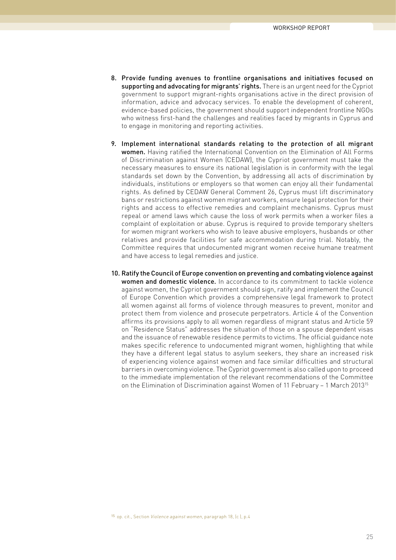- 8. Provide funding avenues to frontline organisations and initiatives focused on supporting and advocating for migrants' rights. There is an urgent need for the Cypriot government to support migrant-rights organisations active in the direct provision of information, advice and advocacy services. To enable the development of coherent, evidence-based policies, the government should support independent frontline NGOs who witness first-hand the challenges and realities faced by migrants in Cyprus and to engage in monitoring and reporting activities.
- 9. Implement international standards relating to the protection of all migrant women. Having ratified the International Convention on the Elimination of All Forms of Discrimination against Women (CEDAW), the Cypriot government must take the necessary measures to ensure its national legislation is in conformity with the legal standards set down by the Convention, by addressing all acts of discrimination by individuals, institutions or employers so that women can enjoy all their fundamental rights. As defined by CEDAW General Comment 26, Cyprus must lift discriminatory bans or restrictions against women migrant workers, ensure legal protection for their rights and access to effective remedies and complaint mechanisms. Cyprus must repeal or amend laws which cause the loss of work permits when a worker files a complaint of exploitation or abuse. Cyprus is required to provide temporary shelters for women migrant workers who wish to leave abusive employers, husbands or other relatives and provide facilities for safe accommodation during trial. Notably, the Committee requires that undocumented migrant women receive humane treatment and have access to legal remedies and justice.
- 10. Ratify the Council of Europe convention on preventing and combating violence against women and domestic violence. In accordance to its commitment to tackle violence against women, the Cypriot government should sign, ratify and implement the Council of Europe Convention which provides a comprehensive legal framework to protect all women against all forms of violence through measures to prevent, monitor and protect them from violence and prosecute perpetrators. Article 4 of the Convention affirms its provisions apply to all women regardless of migrant status and Article 59 on "Residence Status" addresses the situation of those on a spouse dependent visas and the issuance of renewable residence permits to victims. The official guidance note makes specific reference to undocumented migrant women, highlighting that while they have a different legal status to asylum seekers, they share an increased risk of experiencing violence against women and face similar difficulties and structural barriers in overcoming violence. The Cypriot government is also called upon to proceed to the immediate implementation of the relevant recommendations of the Committee on the Elimination of Discrimination against Women of 11 February – 1 March 201315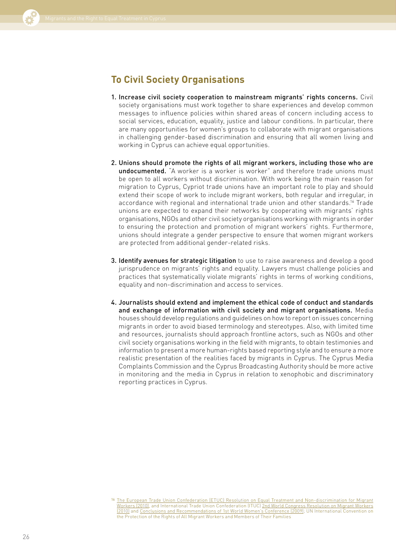

### **To Civil Society Organisations**

- 1. Increase civil society cooperation to mainstream migrants' rights concerns. Civil society organisations must work together to share experiences and develop common messages to influence policies within shared areas of concern including access to social services, education, equality, justice and labour conditions. In particular, there are many opportunities for women's groups to collaborate with migrant organisations in challenging gender-based discrimination and ensuring that all women living and working in Cyprus can achieve equal opportunities.
- 2. Unions should promote the rights of all migrant workers, including those who are undocumented. "A worker is a worker is worker" and therefore trade unions must be open to all workers without discrimination. With work being the main reason for migration to Cyprus, Cypriot trade unions have an important role to play and should extend their scope of work to include migrant workers, both regular and irregular, in accordance with regional and international trade union and other standards.16 Trade unions are expected to expand their networks by cooperating with migrants' rights organisations, NGOs and other civil society organisations working with migrants in order to ensuring the protection and promotion of migrant workers' rights. Furthermore, unions should integrate a gender perspective to ensure that women migrant workers are protected from additional gender-related risks.
- 3. Identify avenues for strategic litigation to use to raise awareness and develop a good jurisprudence on migrants' rights and equality. Lawyers must challenge policies and practices that systematically violate migrants' rights in terms of working conditions, equality and non-discrimination and access to services.
- 4. Journalists should extend and implement the ethical code of conduct and standards and exchange of information with civil society and migrant organisations. Media houses should develop regulations and guidelines on how to report on issues concerning migrants in order to avoid biased terminology and stereotypes. Also, with limited time and resources, journalists should approach frontline actors, such as NGOs and other civil society organisations working in the field with migrants, to obtain testimonies and information to present a more human-rights based reporting style and to ensure a more realistic presentation of the realities faced by migrants in Cyprus. The Cyprus Media Complaints Commission and the Cyprus Broadcasting Authority should be more active in monitoring and the media in Cyprus in relation to xenophobic and discriminatory reporting practices in Cyprus.

<sup>16</sup> [The European Trade Union Confederation \(ETUC\) Resolution on Equal Treatment and Non-discrimination for Migrant](http://www.etuc.org/IMG/pdf/09-GB-final_-equal_treatment_and_non_discrimination_for_migrant_workers2.pdf) [Workers \(2010\),](http://www.etuc.org/IMG/pdf/09-GB-final_-equal_treatment_and_non_discrimination_for_migrant_workers2.pdf) and International Trade Union Confederation (ITUC) [2nd World Congress Resolution on Migrant Workers](http://www.ituc-csi.org/IMG/pdf/2CO_11_Migrant_Workers_03-10-2.pdf) [\(2010\)](http://www.ituc-csi.org/IMG/pdf/2CO_11_Migrant_Workers_03-10-2.pdf) and [Conclusions and Recommendations of 1st World Women's Conference \(2009\);](http://www.ituc-csi.org/1st-world-women-s-conference%2C4822) UN International Convention on the Protection of the Rights of All Migrant Workers and Members of Their Families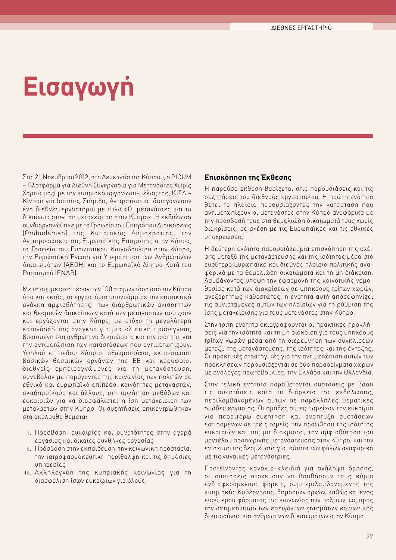# <span id="page-28-0"></span>**Εισαγωγή**

Στις 21 Νοεμβρίου 2012, στη Λευκωσία της Κύπρου, η PICUM – Πλατφόρμα για Διεθνή Συνεργασία για Μετανάστες Χωρίς Χαρτιά μαζί με την κυπριακή οργάνωση-μέλος της, ΚΙΣΑ – Κίνηση για Ισότητα, Στήριξη, Αντιρατσισμό διοργάνωσαν ένα διεθνές εργαστήριο με τίτλο «Οι μετανάστες και το δικαίωμα στην ίση μεταχείριση στην Κύπρο». Η εκδήλωση συνδιοργανώθηκε με το Γραφείο του Επιτρόπου Διοικήσεως (Ombudsman) της Κυπριακής Δημοκρατίας, την Αντιπροσωπεία της Ευρωπαϊκής Επιτροπής στην Κύπρο, το Γραφείο του Ευρωπαϊκού Κοινοβουλίου στην Κύπρο, την Ευρωπαϊκή Ένωση για Υπεράσπιση των Ανθρωπίνων Δικαιωμάτων (AEDH) και το Ευρωπαϊκό Δίκτυο Κατά του Ρατσισμού (ENAR).

Με τη συμμετοχή πέραν των 100 ατόμων τόσο από την Κύπρο όσο και εκτός, το εργαστήριο υπογράμμισε την επιτακτική ανάγκη αμφισβήτησης των διαρθρωτικών ανισοτήτων και θεσμικών διακρίσεων κατά των μεταναστών που ζουν και εργάζονται στην Κύπρο, με στόχο τη μεγαλύτερη κατανόηση της ανάγκης για μια ολιστική προσέγγιση, βασισμένη στα ανθρώπινα δικαιώματα και την ισότητα, για την αντιμετώπιση των καταστάσεων που αντιμετωπίζουν. Υψηλού επιπέδου Κύπριοι αξιωματούχοι, εκπρόσωποι βασικών θεσμικών οργάνων της ΕΕ και κορυφαίοι διεθνείς εμπειρογνώμονες για τη μετανάστευση, συνέβαλαν με παράγοντες της κοινωνίας των πολιτών σε εθνικό και ευρωπαϊκό επίπεδο, κοινότητες μεταναστών, ακαδημαϊκούς και άλλους, στη συζήτηση μεθόδων και ευκαιριών για να διασφαλιστεί η ίση μεταχείριση των μεταναστών στην Κύπρο. Οι συζητήσεις επικεντρώθηκαν στα ακόλουθα θέματα:

- i. Πρόσβαση, ευκαιρίες και δυνατότητες στην αγορά εργασίας και δίκαιες συνθήκες εργασίας
- ii. Πρόσβαση στην εκπαίδευση, την κοινωνική προστασία, την ιατροφαρμακευτική περίθαλψη και τις δημόσιες υπηρεσίες
- iii. Αλληλεγγύη της κυπριακής κοινωνίας για τη διασφάλιση ίσων ευκαιριών για όλους.

#### **Επισκόπηση της Έκθεσης**

Η παρούσα έκθεση βασίζεται στις παρουσιάσεις και τις συζητήσεις του διεθνούς εργαστηρίου. Η πρώτη ενότητα θέτει το πλαίσιο παρουσιάζοντας την κατάσταση που αντιμετωπίζουν οι μετανάστες στην Κύπρο αναφορικά με την πρόσβασή τους στα θεμελιώδη δικαιώματά τους χωρίς διακρίσεις, σε σχέση με τις Ευρωπαϊκές και τις εθνικές υποχρεώσεις.

Η δεύτερη ενότητα παρουσιάζει μια επισκόπηση της σχέσης μεταξύ της μετανάστευσης και της ισότητας μέσα στο ευρύτερο Ευρωπαϊκό και διεθνές πλαίσιο πολιτικής αναφορικά με τα θεμελιώδη δικαιώματα και τη μη διάκριση. Λαμβάνοντας υπόψη την εφαρμογή της κοινοτικής νομοθεσίας κατά των διακρίσεων σε υπηκόους τρίτων χωρών, ανεξαρτήτως καθεστώτος, η ενότητα αυτή αποσαφηνίζει τις συνισταμένες αυτών των πλαισίων για τη ρύθμιση της ίσης μεταχείρισης για τους μετανάστες στην Κύπρο.

Στην τρίτη ενότητα σκιαγραφούνται οι πρακτικές προκλήσεις για την ισότητα και τη μη διάκριση για τους υπηκόους τρίτων χωρών μέσα από τη διερεύνηση των συγκλίσεων μεταξύ της μετανάστευσης, της ισότητας και της ένταξης. Οι πρακτικές στρατηγικές για την αντιμετώπιση αυτών των προκλήσεων παρουσιάζονται σε δύο παραδείγματα χωρών με ανάλογες πρωτοβουλίες, την Ελλάδα και την Ολλανδία.

Στην τελική ενότητα παραθέτονται συστάσεις με βάση τις συζητήσεις κατά τη διάρκεια της εκδήλωσης, περιλαμβανομένων αυτών σε παράλληλες θεματικές ομάδες εργασίας. Οι ομάδες αυτές παρείχαν την ευκαιρία για περαιτέρω συζήτηση και ανάπτυξη συστάσεων εστιασμένων σε τρεις τομείς: την προώθηση της ισότητας ευκαιριών και της μη διάκρισης, την αμφισβήτηση του μοντέλου προσωρινής μετανάστευσης στην Κύπρο, και την ενίσχυση της δέσμευσης για ισότητα των φύλων αναφορικά με τις γυναίκες μετανάστριες.

Προτείνοντας κανάλια-κλειδιά για ανάληψη δράσης, οι συστάσεις στοχεύουν να βοηθήσουν τους κύρια ενδιαφερόμενους φορείς, συμπεριλαμβανομένης της κυπριακής Κυβέρνησης, δημόσιων αρχών, καθώς και ενός ευρύτερου φάσματος της κοινωνίας των πολιτών, ως προς την αντιμετώπιση των επειγόντων ζητημάτων κοινωνικής δικαιοσύνης και ανθρωπίνων δικαιωμάτων στην Κύπρο.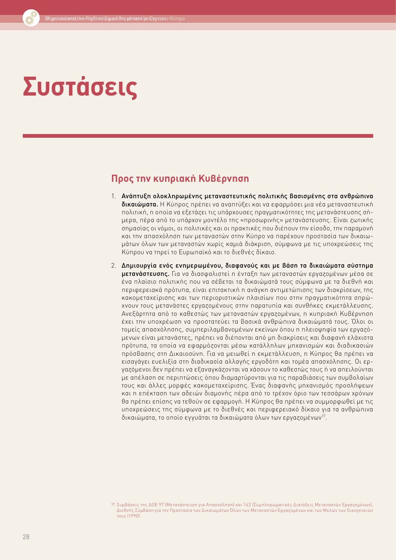# **Συστάσεις**

### **Προς την κυπριακή Κυβέρνηση**

- 1. Ανάπτυξη ολοκληρωμένης μεταναστευτικής πολιτικής βασισμένης στα ανθρώπινα δικαιώματα. Η Κύπρος πρέπει να αναπτύξει και να εφαρμόσει μια νέα μεταναστευτική πολιτική, η οποία να εξετάζει τις υπάρχουσες πραγματικότητες της μετανάστευσης σήμερα, πέρα από το υπάρχον μοντέλο της «προσωρινής» μετανάστευσης. Είναι ζωτικής σημασίας οι νόμοι, οι πολιτικές και οι πρακτικές που διέπουν την είσοδο, την παραμονή και την απασχόληση των μεταναστών στην Κύπρο να παρέχουν προστασία των δικαιωμάτων όλων των μεταναστών χωρίς καμιά διάκριση, σύμφωνα με τις υποχρεώσεις της Κύπρου να τηρεί το Ευρωπαϊκό και το διεθνές δίκαιο.
- 2. Δημιουργία ενός ενημερωμένου, διαφανούς και με βάση τα δικαιώματα σύστημα μετανάστευσης. Για να διασφαλιστεί η ένταξη των μεταναστών εργαζομένων μέσα σε ένα πλαίσιο πολιτικής που να σέβεται τα δικαιώματά τους σύμφωνα με τα διεθνή και περιφερειακά πρότυπα, είναι επιτακτική η ανάγκη αντιμετώπισης των διακρίσεων, της κακομεταχείρισης και των περιοριστικών πλαισίων που στην πραγματικότητα σπρώχνουν τους μετανάστες εργαζομένους στην παρατυπία και συνθήκες εκμετάλλευσης. Ανεξάρτητα από το καθεστώς των μεταναστών εργαζομένων, η κυπριακή Κυβέρνηση έχει την υποχρέωση να προστατεύει τα βασικά ανθρώπινα δικαιώματά τους. Όλοι οι τομείς απασχόλησης, συμπεριλαμβανομένων εκείνων όπου η πλειοψηφία των εργαζόμενων είναι μετανάστες, πρέπει να διέπονται από μη διακρίσεις και διαφανή ελάχιστα πρότυπα, τα οποία να εφαρμόζονται μέσω κατάλληλων μηχανισμών και διαδικασιών πρόσβασης στη Δικαιοσύνη. Για να μειωθεί η εκμετάλλευση, η Κύπρος θα πρέπει να εισαγάγει ευελιξία στη διαδικασία αλλαγής εργοδότη και τομέα απασχόλησης. Οι εργαζόμενοι δεν πρέπει να εξαναγκάζονται να χάσουν το καθεστώς τους ή να απειλούνται με απέλαση σε περιπτώσεις όπου διαμαρτύρονται για τις παραβιάσεις των συμβολαίων τους και άλλες μορφές κακομεταχείρισης. Ένας διαφανής μηχανισμός προσλήψεων και η επέκταση των αδειών διαμονής πέρα από το τρέχον όριο των τεσσάρων χρόνων θα πρέπει επίσης να τεθούν σε εφαρμογή. Η Κύπρος θα πρέπει να συμμορφωθεί με τις υποχρεώσεις της σύμφωνα με το διεθνές και περιφερειακό δίκαιο για τα ανθρώπινα δικαιώματα, το οποίο εγγυάται τα δικαιώματα όλων των εργαζομένων<sup>17</sup>.

<sup>17</sup> [Συμβάσεις της ΔΟΕ 97 \(Μετανάστευση για Απασχόληση\) και 143 \(Συμπληρωματικές Διατάξεις Μεταναστών Εργαζομένων\),](http://www.ohchr.org/EN/Issues/Migration/SRMigrants/Pages/SRMigrantsIndex.aspx) [Διεθνής Σύμβαση για την Προστασία των Δικαιωμάτων Όλων των Μεταναστών Εργαζομένων και των Μελών των Οικογενειών](http://www.ohchr.org/EN/Issues/Migration/SRMigrants/Pages/SRMigrantsIndex.aspx) [τους \(1990\)](http://www.ohchr.org/EN/Issues/Migration/SRMigrants/Pages/SRMigrantsIndex.aspx)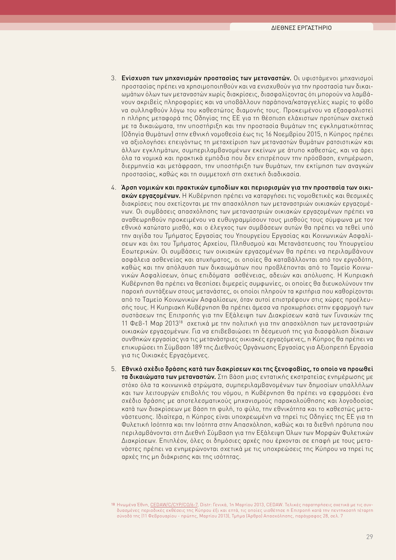- <span id="page-30-0"></span>3. Ενίσχυση των μηχανισμών προστασίας των μεταναστών. Οι υφιστάμενοι μηχανισμοί προστασίας πρέπει να χρησιμοποιηθούν και να ενισχυθούν για την προστασία των δικαιωμάτων όλων των μεταναστών χωρίς διακρίσεις, διασφαλίζοντας ότι μπορούν να λαμβάνουν ακριβείς πληροφορίες και να υποβάλλουν παράπονα/καταγγελίες χωρίς το φόβο να συλληφθούν λόγω του καθεστώτος διαμονής τους. Προκειμένου να εξασφαλιστεί η πλήρης μεταφορά της Οδηγίας της ΕΕ για τη θέσπιση ελάχιστων προτύπων σχετικά με τα δικαιώματα, την υποστήριξη και την προστασία θυμάτων της εγκληματικότητας (Οδηγία Θυμάτων) στην εθνική νομοθεσία έως τις 16 Νοεμβρίου 2015, η Κύπρος πρέπει να αξιολογήσει επειγόντως τη μεταχείριση των μεταναστών θυμάτων ρατσιστικών και άλλων εγκλημάτων, συμπεριλαμβανομένων εκείνων με άτυπο καθεστώς, και να άρει όλα τα νομικά και πρακτικά εμπόδια που δεν επιτρέπουν την πρόσβαση, ενημέρωση, διερμηνεία και μετάφραση, την υποστήριξη των θυμάτων, την εκτίμηση των αναγκών προστασίας, καθώς και τη συμμετοχή στη σχετική διαδικασία.
- 4. Άρση νομικών και πρακτικών εμποδίων και περιορισμών για την προστασία των οικιακών εργαζομένων. Η Κυβέρνηση πρέπει να καταργήσει τις νομοθετικές και θεσμικές διακρίσεις που σχετίζονται με την απασχόληση των μεταναστριών οικιακών εργαζομένων. Οι συμβάσεις απασχόλησης των μεταναστριών οικιακών εργαζομένων πρέπει να αναθεωρηθούν προκειμένου να ευθυγραμμίσουν τους μισθούς τους σύμφωνα με τον εθνικό κατώτατο μισθό, και ο έλεγχος των συμβάσεων αυτών θα πρέπει να τεθεί υπό την αιγίδα του Τμήματος Εργασίας του Υπουργείου Εργασίας και Κοινωνικών Ασφαλίσεων και όχι του Τμήματος Αρχείου, Πληθυσμού και Μετανάστευσης του Υπουργείου Εσωτερικών. Οι συμβάσεις των οικιακών εργαζομένων θα πρέπει να περιλαμβάνουν ασφάλεια ασθενείας και ατυχήματος, οι οποίες θα καταβάλλονται από τον εργοδότη, καθώς και την απόλαυση των δικαιωμάτων που προβλέπονται από το Ταμείο Κοινωνικών Ασφαλίσεων, όπως επιδόματα ασθένειας, αδειών και απόλυσης. Η Κυπριακή Κυβέρνηση θα πρέπει να θεσπίσει διμερείς συμφωνίες, οι οποίες θα διευκολύνουν την παροχή συντάξεων στους μετανάστες, οι οποίοι πληρούν τα κριτήρια που καθορίζονται από το Ταμείο Κοινωνικών Ασφαλίσεων, όταν αυτοί επιστρέφουν στις χώρες προέλευσής τους. Η Κυπριακή Κυβέρνηση θα πρέπει άμεσα να προχωρήσει στην εφαρμογή των συστάσεων της Επιτροπής για την Εξάλειψη των Διακρίσεων κατά των Γυναικών της 11 Φεβ-1 Μαρ 201318 σχετικά με την πολιτική για την απασχόληση των μεταναστριών οικιακών εργαζομένων. Για να επιβεβαιώσει τη δέσμευσή της για διασφάλιση δίκαιων συνθηκών εργασίας για τις μετανάστριες οικιακές εργαζόμενες, η Κύπρος θα πρέπει να επικυρώσει τη Σύμβαση 189 της Διεθνούς Οργάνωσης Εργασίας για Αξιοπρεπή Εργασία για τις Οικιακές Εργαζόμενες.
- 5. Εθνικό σχέδιο δράσης κατά των διακρίσεων και της ξενοφοβίας, το οποίο να προωθεί τα δικαιώματα των μεταναστών. Στη βάση μιας εντατικής εκστρατείας ενημέρωσης με στόχο όλα τα κοινωνικά στρώματα, συμπεριλαμβανομένων των δημοσίων υπαλλήλων και των λειτουργών επιβολής του νόμου, η Κυβέρνηση θα πρέπει να εφαρμόσει ένα σχέδιο δράσης με αποτελεσματικούς μηχανισμούς παρακολούθησης και λογοδοσίας κατά των διακρίσεων με βάση τη φυλή, το φύλο, την εθνικότητα και το καθεστώς μετανάστευσης. Ιδιαίτερα, η Κύπρος είναι υποχρεωμένη να τηρεί τις Οδηγίες της ΕΕ για τη Φυλετική Ισότητα και την Ισότητα στην Απασχόληση, καθώς και τα διεθνή πρότυπα που περιλαμβάνονται στη Διεθνή Σύμβαση για την Εξάλειψη Όλων των Μορφών Φυλετικών Διακρίσεων. Επιπλέον, όλες οι δημόσιες αρχές που έρχονται σε επαφή με τους μετανάστες πρέπει να ενημερώνονται σχετικά με τις υποχρεώσεις της Κύπρου να τηρεί τις αρχές της μη διάκρισης και της ισότητας.

<sup>18</sup> Ηνωμένα Έθνη, [CEDAW/C/CYP/CO/6-7](http://www2.ohchr.org/english/bodies/cedaw/cedaws54.htm), Distr: Γενικά, 1η Μαρτίου 2013, CEDAW. Τελικές παρατηρήσεις σχετικά με τις συνδυασμένες περιοδικές εκθέσεις της Κύπρου έξι και επτά, τις οποίες υιοθέτησε η Επιτροπή κατά την πεντηκοστή τέταρτη σύνοδό της (11 Φεβρουαρίου - πρώτης, Μαρτίου 2013), Τμήμα (Άρθρο) Απασχόλησης, παράγραφος 28, σελ. 7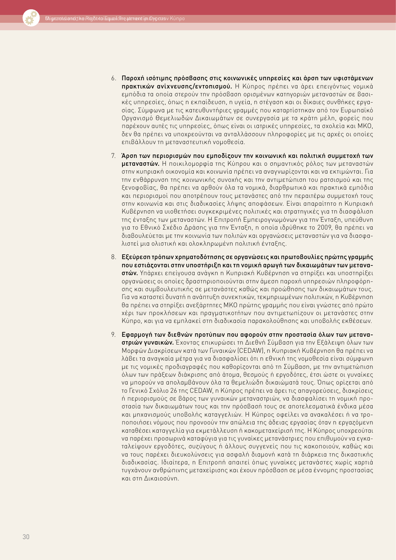

- 6. Παροχή ισότιμης πρόσβασης στις κοινωνικές υπηρεσίες και άρση των υφιστάμενων πρακτικών ανίχνευσης/εντοπισμού. Η Κύπρος πρέπει να άρει επειγόντως νομικά εμπόδια τα οποία στερούν την πρόσβαση ορισμένων κατηγοριών μεταναστών σε βασικές υπηρεσίες, όπως η εκπαίδευση, η υγεία, η στέγαση και οι δίκαιες συνθήκες εργασίας. Σύμφωνα με τις κατευθυντήριες γραμμές που καταρτίστηκαν από τον Ευρωπαϊκό Οργανισμό Θεμελιωδών Δικαιωμάτων σε συνεργασία με τα κράτη μέλη, φορείς που παρέχουν αυτές τις υπηρεσίες, όπως είναι οι ιατρικές υπηρεσίες, τα σχολεία και ΜΚΟ, δεν θα πρέπει να υποχρεούνται να ανταλλάσσουν πληροφορίες με τις αρχές οι οποίες επιβάλλουν τη μεταναστευτική νομοθεσία.
- 7. Άρση των περιορισμών που εμποδίζουν την κοινωνική και πολιτική συμμετοχή των μεταναστών. Η ποικιλομορφία της Κύπρου και ο σημαντικός ρόλος των μεταναστών στην κυπριακή οικονομία και κοινωνία πρέπει να αναγνωρίζονται και να εκτιμώνται. Για την ενθάρρυνση της κοινωνικής συνοχής και την αντιμετώπιση του ρατσισμού και της ξενοφοβίας, θα πρέπει να αρθούν όλα τα νομικά, διαρθρωτικά και πρακτικά εμπόδια και περιορισμοί που αποτρέπουν τους μετανάστες από την περαιτέρω συμμετοχή τους στην κοινωνία και στις διαδικασίες λήψης αποφάσεων. Είναι απαραίτητο η Κυπριακή Κυβέρνηση να υιοθετήσει συγκεκριμένες πολιτικές και στρατηγικές για τη διασφάλιση της ένταξης των μεταναστών. Η Επιτροπή Εμπειρογνωμόνων για την Ένταξη, υπεύθυνη για το Εθνικό Σχέδιο Δράσης για την Ένταξη, η οποία ιδρύθηκε το 2009, θα πρέπει να διαβουλεύεται με την κοινωνία των πολιτών και οργανώσεις μεταναστών για να διασφαλιστεί μια ολιστική και ολοκληρωμένη πολιτική ένταξης.
- 8. Εξεύρεση τρόπων χρηματοδότησης σε οργανώσεις και πρωτοβουλίες πρώτης γραμμής που εστιάζονται στην υποστήριξη και τη νομική αρωγή των δικαιωμάτων των μεταναστών. Υπάρχει επείγουσα ανάγκη η Κυπριακή Κυβέρνηση να στηρίξει και υποστηρίξει οργανώσεις οι οποίες δραστηριοποιούνται στην άμεση παροχή υπηρεσιών πληροφόρησης και συμβουλευτικής σε μετανάστες καθώς και προώθησης των δικαιωμάτων τους. Για να καταστεί δυνατή η ανάπτυξη συνεκτικών, τεκμηριωμένων πολιτικών, η Κυβέρνηση θα πρέπει να στηρίξει ανεξάρτητες ΜΚΟ πρώτης γραμμής που είναι γνώστες από πρώτο χέρι των προκλήσεων και πραγματικοτήτων που αντιμετωπίζουν οι μετανάστες στην Κύπρο, και για να εμπλακεί στη διαδικασία παρακολούθησης και υποβολής εκθέσεων.
- 9. Εφαρμογή των διεθνών προτύπων που αφορούν στην προστασία όλων των μεταναστριών γυναικών. Έχοντας επικυρώσει τη Διεθνή Σύμβαση για την Εξάλειψη όλων των Μορφών Διακρίσεων κατά των Γυναικών (CEDAW), η Κυπριακή Κυβέρνηση θα πρέπει να λάβει τα αναγκαία μέτρα για να διασφαλίσει ότι η εθνική της νομοθεσία είναι σύμφωνη με τις νομικές προδιαγραφές που καθορίζονται από τη Σύμβαση, με την αντιμετώπιση όλων των πράξεων διάκρισης από άτομα, θεσμούς ή εργοδότες, έτσι ώστε οι γυναίκες να μπορούν να απολαμβάνουν όλα τα θεμελιώδη δικαιώματά τους. Όπως ορίζεται από το Γενικό Σχόλιο 26 της CEDAW, η Κύπρος πρέπει να άρει τις απαγορεύσεις, διακρίσεις ή περιορισμούς σε βάρος των γυναικών μεταναστριών, να διασφαλίσει τη νομική προστασία των δικαιωμάτων τους και την πρόσβασή τους σε αποτελεσματικά ένδικα μέσα και μηχανισμούς υποβολής καταγγελιών. Η Κύπρος οφείλει να ανακαλέσει ή να τροποποιήσει νόμους που προνοούν την απώλεια της άδειας εργασίας όταν η εργαζόμενη καταθέσει καταγγελία για εκμετάλλευση ή κακομεταχείρισή της. Η Κύπρος υποχρεούται να παρέχει προσωρινά καταφύγια για τις γυναίκες μετανάστριες που επιθυμούν να εγκαταλείψουν εργοδότες, συζύγους ή άλλους συγγενείς που τις κακοποιούν, καθώς και να τους παρέχει διευκολύνσεις για ασφαλή διαμονή κατά τη διάρκεια της δικαστικής διαδικασίας. Ιδιαίτερα, η Επιτροπή απαιτεί όπως γυναίκες μετανάστες χωρίς χαρτιά τυγχάνουν ανθρώπινης μεταχείρισης και έχουν πρόσβαση σε μέσα έννομης προστασίας και στη Δικαιοσύνη.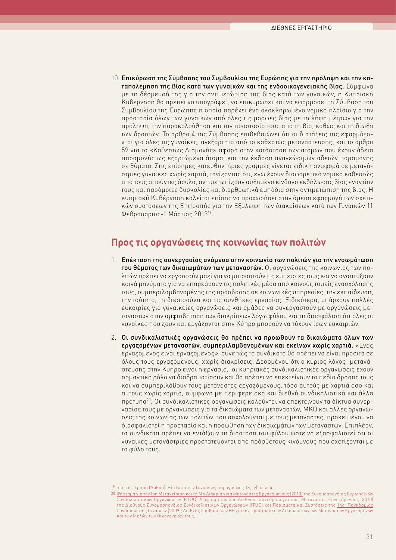<span id="page-32-0"></span>10. Επικύρωση της Σύμβασης του Συμβουλίου της Ευρώπης για την πρόληψη και την καταπολέμηση της βίας κατά των γυναικών και της ενδοοικογενειακής βίας. Σύμφωνα με τη δέσμευσή της για την αντιμετώπιση της βίας κατά των γυναικών, η Κυπριακή Κυβέρνηση θα πρέπει να υπογράψει, να επικυρώσει και να εφαρμόσει τη Σύμβαση του Συμβουλίου της Ευρώπης η οποία παρέχει ένα ολοκληρωμένο νομικό πλαίσιο για την προστασία όλων των γυναικών από όλες τις μορφές βίας με τη λήψη μέτρων για την πρόληψη, την παρακολούθηση και την προστασία τους από τη βία, καθώς και τη δίωξη των δραστών. Το άρθρο 4 της Σύμβασης επιβεβαιώνει ότι οι διατάξεις της εφαρμόζονται για όλες τις γυναίκες, ανεξάρτητα από το καθεστώς μετανάστευσης, και το άρθρο 59 για το «Καθεστώς Διαμονής» αφορά στην κατάσταση των ατόμων που έχουν άδεια παραμονής ως εξαρτώμενα άτομα, και την έκδοση ανανεώσιμων αδειών παραμονής σε θύματα. Στις επίσημες κατευθυντήριες γραμμές γίνεται ειδική αναφορά σε μετανάστριες γυναίκες χωρίς χαρτιά, τονίζοντας ότι, ενώ έχουν διαφορετικό νομικό καθεστώς από τους αιτούντες άσυλο, αντιμετωπίζουν αυξημένο κίνδυνο εκδήλωσης βίας εναντίον τους και παρόμοιες δυσκολίες και διαρθρωτικά εμπόδια στην αντιμετώπιση της βίας. Η κυπριακή Κυβέρνηση καλείται επίσης να προχωρήσει στην άμεση εφαρμογή των σχετικών συστάσεων της Επιτροπής για την Εξάλειψη των Διακρίσεων κατά των Γυναικών 11 Φεβρουάριος-1 Μάρτιος 201319.

### **Προς τις οργανώσεις της κοινωνίας των πολιτών**

- 1. Επέκταση της συνεργασίας ανάμεσα στην κοινωνία των πολιτών για την ενσωμάτωση του θέματος των δικαιωμάτων των μεταναστών. Οι οργανώσεις της κοινωνίας των πολιτών πρέπει να εργαστούν μαζί για να μοιραστούν τις εμπειρίες τους και να αναπτύξουν κοινά μηνύματα για να επηρεάσουν τις πολιτικές μέσα από κοινούς τομείς ενασχόλησής τους, συμπεριλαμβανομένης της πρόσβασης σε κοινωνικές υπηρεσίες, την εκπαίδευση, την ισότητα, τη δικαιοσύνη και τις συνθήκες εργασίας. Ειδικότερα, υπάρχουν πολλές ευκαιρίες για γυναικείες οργανώσεις και ομάδες να συνεργαστούν με οργανώσεις μεταναστών στην αμφισβήτηση των διακρίσεων λόγω φύλου και τη διασφάλιση ότι όλες οι γυναίκες που ζουν και εργάζονται στην Κύπρο μπορούν να τύχουν ίσων ευκαιριών.
- 2. Οι συνδικαλιστικές οργανώσεις θα πρέπει να προωθούν τα δικαιώματα όλων των εργαζομένων μεταναστών, συμπεριλαμβανομένων και εκείνων χωρίς χαρτιά. «Ένας εργαζόμενος είναι εργαζόμενος», συνεπώς τα συνδικάτα θα πρέπει να είναι προσιτά σε όλους τους εργαζόμενους, χωρίς διακρίσεις. Δεδομένου ότι ο κύριος λόγος μετανάστευσης στην Κύπρο είναι η εργασία, οι κυπριακές συνδικαλιστικές οργανώσεις έχουν σημαντικό ρόλο να διαδραματίσουν και θα πρέπει να επεκτείνουν το πεδίο δράσης τους και να συμπεριλάβουν τους μετανάστες εργαζόμενους, τόσο αυτούς με χαρτιά όσο και αυτούς χωρίς χαρτιά, σύμφωνα με περιφερειακά και διεθνή συνδικαλιστικά και άλλα πρότυπα20. Οι συνδικαλιστικές οργανώσεις καλούνται να επεκτείνουν τα δίκτυα συνεργασίας τους με οργανώσεις για τα δικαιώματα των μεταναστών, ΜΚΟ και άλλες οργανώσεις της κοινωνίας των πολιτών που ασχολούνται με τους μετανάστες, προκειμένου να διασφαλιστεί η προστασία και η προώθηση των δικαιωμάτων των μεταναστών. Επιπλέον, τα συνδικάτα πρέπει να εντάξουν τη διάσταση του φύλου ώστε να εξασφαλιστεί ότι οι γυναίκες μετανάστριες προστατεύονται από πρόσθετους κινδύνους που σχετίζονται με το φύλο τους.

19 [op. cit., Τμήμα \(Άρθρο\) Βία Κατά των Γυναικών, παράγραφος 18, \(γ\), σελ. 4](http://en.wikipedia.org/wiki/United_Nations)

<sup>20</sup> [Ψήφισμα για την Ίση Μεταχείριση και τη Μη Διάκριση για Μετανάστες Εργαζόμενους \(2010\)](http://www.etuc.org/IMG/pdf/09-GB-final_-equal_treatment_and_non_discrimination_for_migrant_workers2.pdf) της Συνομοσπονδίας Ευρωπαϊκών Συνδικαλιστικών Οργανώσεων (ETUC), Ψήφισμα του [2ου Διεθνούς Συνεδρίου για τους Μετανάστες Εργαζόμενους](http://www.ituc-csi.org/IMG/pdf/2CO_11_Migrant_Workers_03-10-2.pdf) (2010) της Διεθνούς Συνομοσπονδίας Συνδικαλιστικών Οργανώσεων (ITUC) και Πορίσματα και Συστάσεις της [1ης Παγκόσμιας](http://www.ituc-csi.org/1st-world-women-s-conference%252C4822) [Συνδιάσκεψης Γυναικών](http://www.ituc-csi.org/1st-world-women-s-conference%252C4822) (2009); Διεθνής Σύμβαση των ΗΕ για την Προστασία των Δικαιωμάτων των Μεταναστών Εργαζομένων και των Μελών των Οικογενειών τους.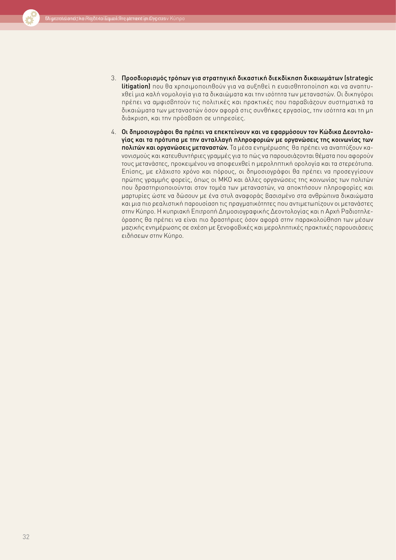- 3. Προσδιορισμός τρόπων για στρατηγική δικαστική διεκδίκηση δικαιωμάτων (strategic litigation) που θα χρησιμοποιηθούν για να αυξηθεί η ευαισθητοποίηση και να αναπτυχθεί μια καλή νομολογία για τα δικαιώματα και την ισότητα των μεταναστών. Οι δικηγόροι πρέπει να αμφισβητούν τις πολιτικές και πρακτικές που παραβιάζουν συστηματικά τα δικαιώματα των μεταναστών όσον αφορά στις συνθήκες εργασίας, την ισότητα και τη μη διάκριση, και την πρόσβαση σε υπηρεσίες.
- 4. Οι δημοσιογράφοι θα πρέπει να επεκτείνουν και να εφαρμόσουν τον Κώδικα Δεοντολογίας και τα πρότυπα με την ανταλλαγή πληροφοριών με οργανώσεις της κοινωνίας των πολιτών και οργανώσεις μεταναστών. Τα μέσα ενημέρωσης θα πρέπει να αναπτύξουν κανονισμούς και κατευθυντήριες γραμμές για το πώς να παρουσιάζονται θέματα που αφορούν τους μετανάστες, προκειμένου να αποφευχθεί η μεροληπτική ορολογία και τα στερεότυπα. Επίσης, με ελάχιστο χρόνο και πόρους, οι δημοσιογράφοι θα πρέπει να προσεγγίσουν πρώτης γραμμής φορείς, όπως οι ΜΚΟ και άλλες οργανώσεις της κοινωνίας των πολιτών που δραστηριοποιούνται στον τομέα των μεταναστών, να αποκτήσουν πληροφορίες και μαρτυρίες ώστε να δώσουν με ένα στυλ αναφοράς βασισμένο στα ανθρώπινα δικαιώματα και μια πιο ρεαλιστική παρουσίαση τις πραγματικότητες που αντιμετωπίζουν οι μετανάστες στην Κύπρο. Η κυπριακή Επιτροπή Δημοσιογραφικής Δεοντολογίας και η Αρχή Ραδιοτηλεόρασης θα πρέπει να είναι πιο δραστήριες όσον αφορά στην παρακολούθηση των μέσων μαζικής ενημέρωσης σε σχέση με ξενοφοβικές και μεροληπτικές πρακτικές παρουσιάσεις ειδήσεων στην Κύπρο.